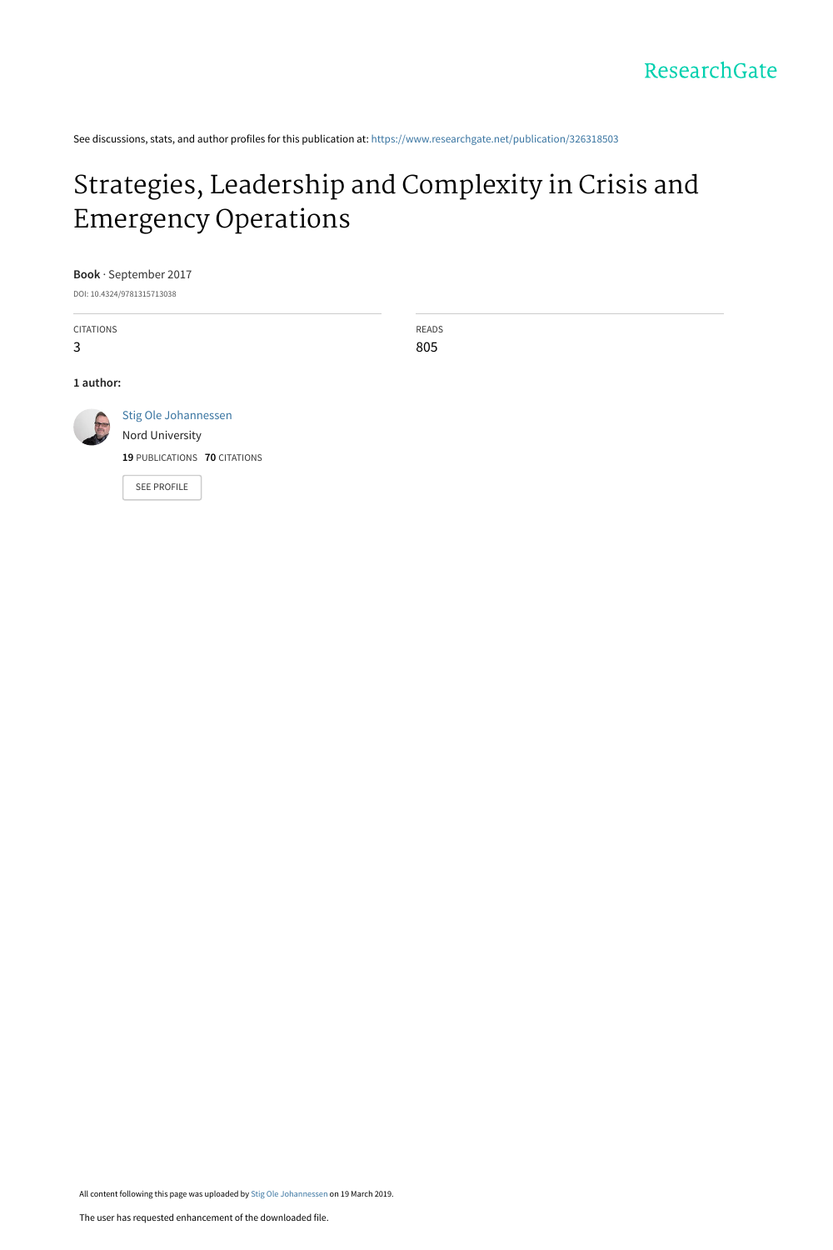See discussions, stats, and author profiles for this publication at: [https://www.researchgate.net/publication/326318503](https://www.researchgate.net/publication/326318503_Strategies_Leadership_and_Complexity_in_Crisis_and_Emergency_Operations?enrichId=rgreq-470dc4182423425f0d66009f2d1c5d55-XXX&enrichSource=Y292ZXJQYWdlOzMyNjMxODUwMztBUzo3MzgxODM5NzMxNzkzOTJAMTU1MzAwODE4MjEzMA%3D%3D&el=1_x_2&_esc=publicationCoverPdf)

### [Strategies, Leadership and Complexity in Crisis and](https://www.researchgate.net/publication/326318503_Strategies_Leadership_and_Complexity_in_Crisis_and_Emergency_Operations?enrichId=rgreq-470dc4182423425f0d66009f2d1c5d55-XXX&enrichSource=Y292ZXJQYWdlOzMyNjMxODUwMztBUzo3MzgxODM5NzMxNzkzOTJAMTU1MzAwODE4MjEzMA%3D%3D&el=1_x_3&_esc=publicationCoverPdf) Emergency Operations

**Book** · September 2017

DOI: 10.4324/9781315713038

CITATIONS 3 READS 805 **1 author:** [Stig Ole Johannessen](https://www.researchgate.net/profile/Stig-Johannessen?enrichId=rgreq-470dc4182423425f0d66009f2d1c5d55-XXX&enrichSource=Y292ZXJQYWdlOzMyNjMxODUwMztBUzo3MzgxODM5NzMxNzkzOTJAMTU1MzAwODE4MjEzMA%3D%3D&el=1_x_5&_esc=publicationCoverPdf) [Nord University](https://www.researchgate.net/institution/Nord-University?enrichId=rgreq-470dc4182423425f0d66009f2d1c5d55-XXX&enrichSource=Y292ZXJQYWdlOzMyNjMxODUwMztBUzo3MzgxODM5NzMxNzkzOTJAMTU1MzAwODE4MjEzMA%3D%3D&el=1_x_6&_esc=publicationCoverPdf) **19** PUBLICATIONS **70** CITATIONS [SEE PROFILE](https://www.researchgate.net/profile/Stig-Johannessen?enrichId=rgreq-470dc4182423425f0d66009f2d1c5d55-XXX&enrichSource=Y292ZXJQYWdlOzMyNjMxODUwMztBUzo3MzgxODM5NzMxNzkzOTJAMTU1MzAwODE4MjEzMA%3D%3D&el=1_x_7&_esc=publicationCoverPdf)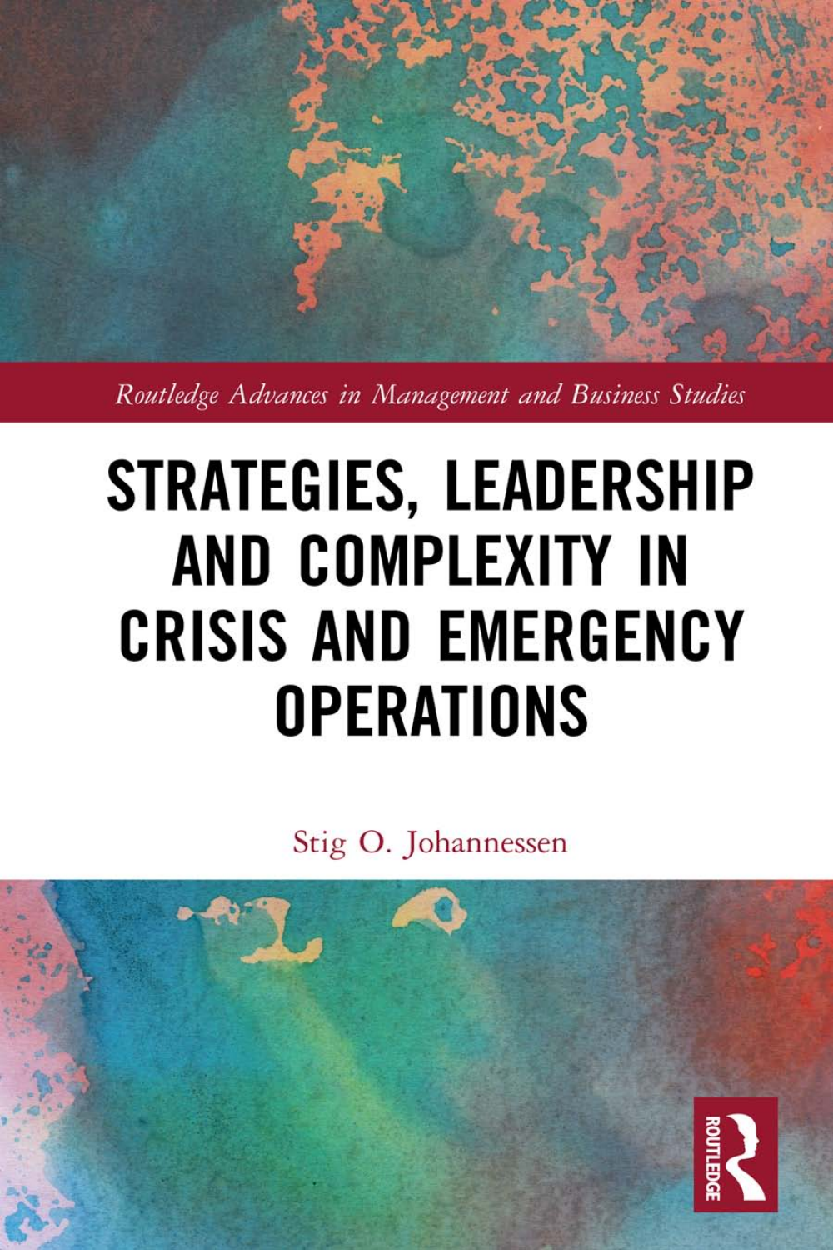Routledge Advances in Management and Business Studies

# **STRATEGIES, LEADERSHIP AND COMPLEXITY IN CRISIS AND EMERGENCY OPERATIONS**

Stig O. Johannessen

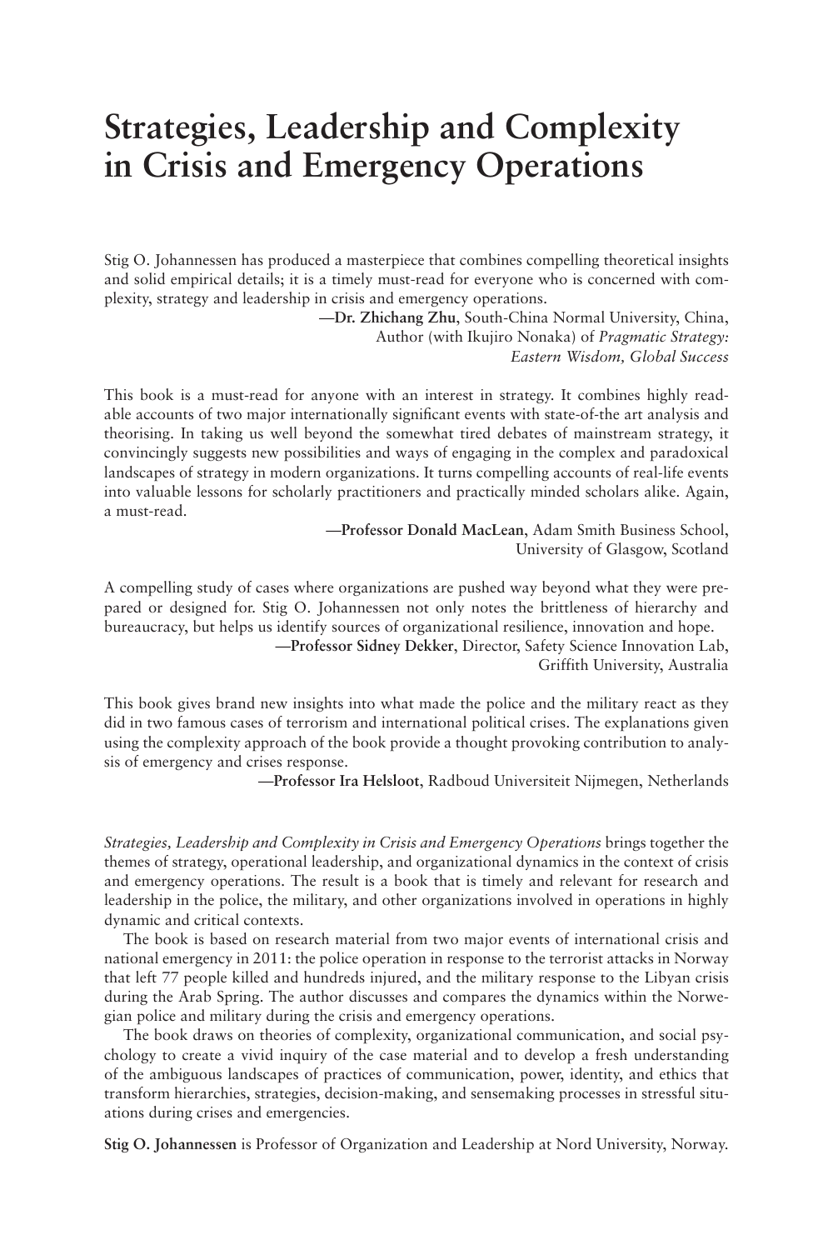# **Strategies, Leadership and Complexity in Crisis and Emergency Operations**

Stig O. Johannessen has produced a masterpiece that combines compelling theoretical insights and solid empirical details; it is a timely must-read for everyone who is concerned with complexity, strategy and leadership in crisis and emergency operations.

> —**Dr. Zhichang Zhu**, South-China Normal University, China, Author (with Ikujiro Nonaka) of *Pragmatic Strategy: Eastern Wisdom, Global Success*

This book is a must-read for anyone with an interest in strategy. It combines highly readable accounts of two major internationally significant events with state-of-the art analysis and theorising. In taking us well beyond the somewhat tired debates of mainstream strategy, it convincingly suggests new possibilities and ways of engaging in the complex and paradoxical landscapes of strategy in modern organizations. It turns compelling accounts of real-life events into valuable lessons for scholarly practitioners and practically minded scholars alike. Again, a must-read.

> —**Professor Donald MacLean**, Adam Smith Business School, University of Glasgow, Scotland

A compelling study of cases where organizations are pushed way beyond what they were prepared or designed for. Stig O. Johannessen not only notes the brittleness of hierarchy and bureaucracy, but helps us identify sources of organizational resilience, innovation and hope.

—**Professor Sidney Dekker**, Director, Safety Science Innovation Lab, Griffith University, Australia

This book gives brand new insights into what made the police and the military react as they did in two famous cases of terrorism and international political crises. The explanations given using the complexity approach of the book provide a thought provoking contribution to analysis of emergency and crises response.

—**Professor Ira Helsloot**, Radboud Universiteit Nijmegen, Netherlands

*Strategies, Leadership and Complexity in Crisis and Emergency Operations* brings together the themes of strategy, operational leadership, and organizational dynamics in the context of crisis and emergency operations. The result is a book that is timely and relevant for research and leadership in the police, the military, and other organizations involved in operations in highly dynamic and critical contexts.

The book is based on research material from two major events of international crisis and national emergency in 2011: the police operation in response to the terrorist attacks in Norway that left 77 people killed and hundreds injured, and the military response to the Libyan crisis during the Arab Spring. The author discusses and compares the dynamics within the Norwegian police and military during the crisis and emergency operations.

The book draws on theories of complexity, organizational communication, and social psychology to create a vivid inquiry of the case material and to develop a fresh understanding of the ambiguous landscapes of practices of communication, power, identity, and ethics that transform hierarchies, strategies, decision-making, and sensemaking processes in stressful situations during crises and emergencies.

**Stig O. Johannessen** is Professor of Organization and Leadership at Nord University, Norway.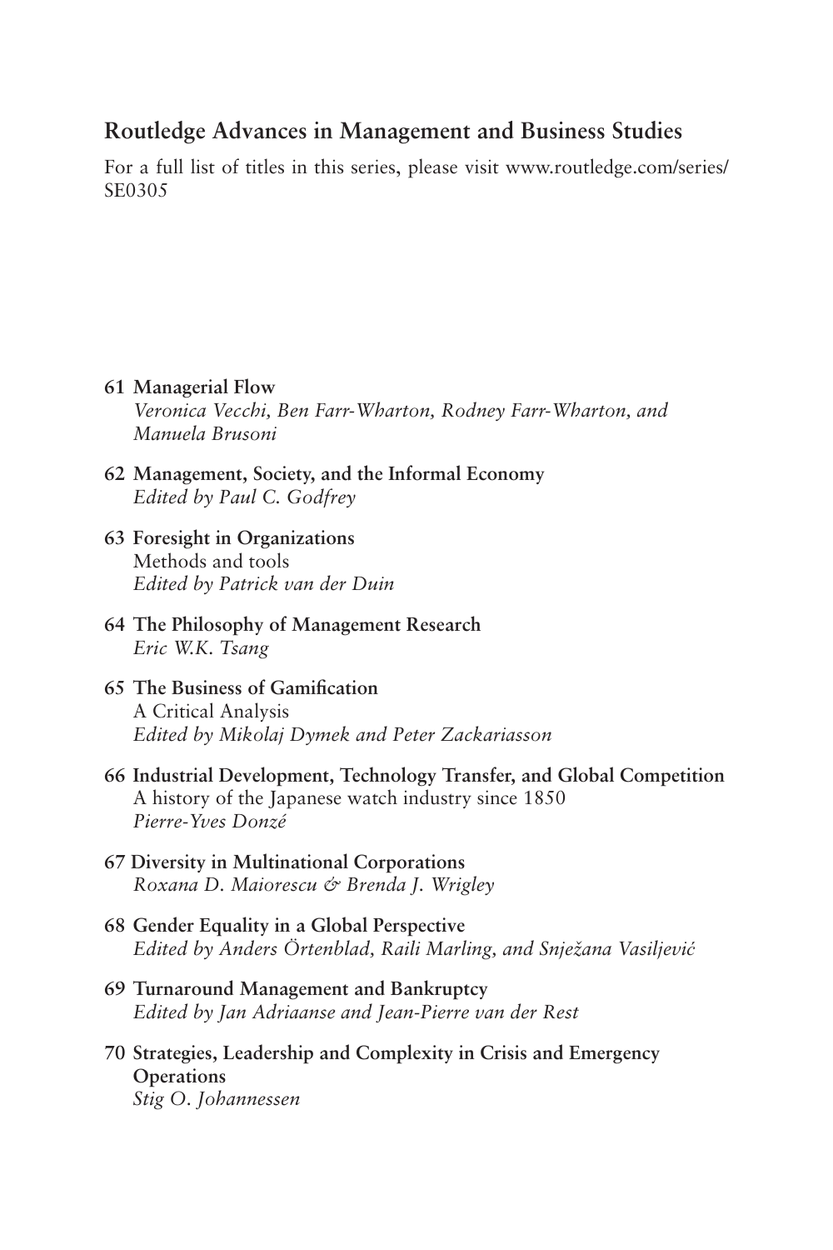#### **Routledge Advances in Management and Business Studies**

For a full list of titles in this series, please visit [www.routledge.com/series/](http://www.routledge.com/series/SE0305) [SE0305](http://www.routledge.com/series/SE0305)

#### **61 Managerial Flow**

*Veronica Vecchi, Ben Farr-Wharton, Rodney Farr-Wharton, and Manuela Brusoni*

- **62 Management, Society, and the Informal Economy** *Edited by Paul C. Godfrey*
- **63 Foresight in Organizations** Methods and tools *Edited by Patrick van der Duin*
- **64 The Philosophy of Management Research** *Eric W.K. Tsang*
- **65 The Business of Gamification** A Critical Analysis *Edited by Mikolaj Dymek and Peter Zackariasson*
- **66 Industrial Development, Technology Transfer, and Global Competition** A history of the Japanese watch industry since 1850 *Pierre-Yves Donzé*
- **67 Diversity in Multinational Corporations** *Roxana D. Maiorescu & Brenda J. Wrigley*
- **68 Gender Equality in a Global Perspective** *Edited by Anders Örtenblad, Raili Marling, and Snježana Vasiljević*
- **69 Turnaround Management and Bankruptcy** *Edited by Jan Adriaanse and Jean-Pierre van der Rest*
- **70 Strategies, Leadership and Complexity in Crisis and Emergency Operations** *Stig O. Johannessen*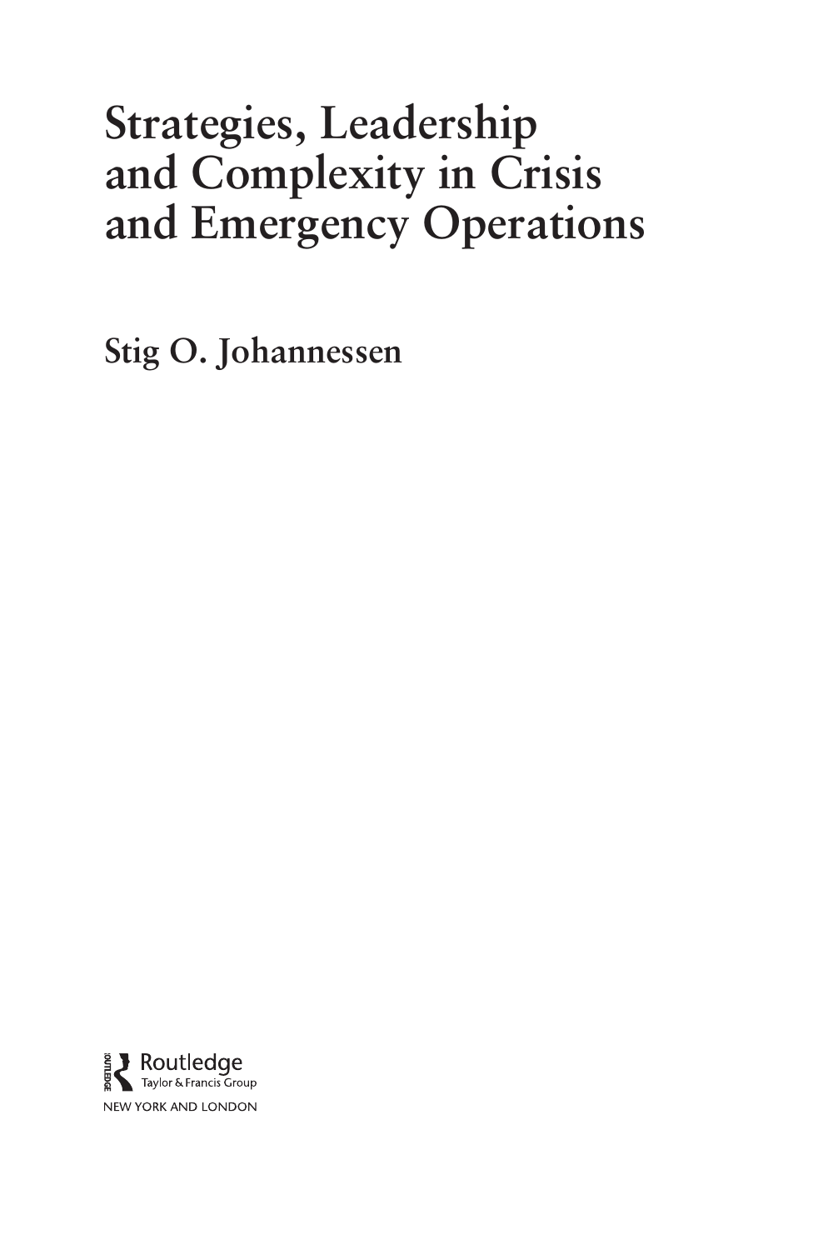# **Strategies, Leadership and Complexity in Crisis and Emergency Operations**

**Stig O. Johannessen**

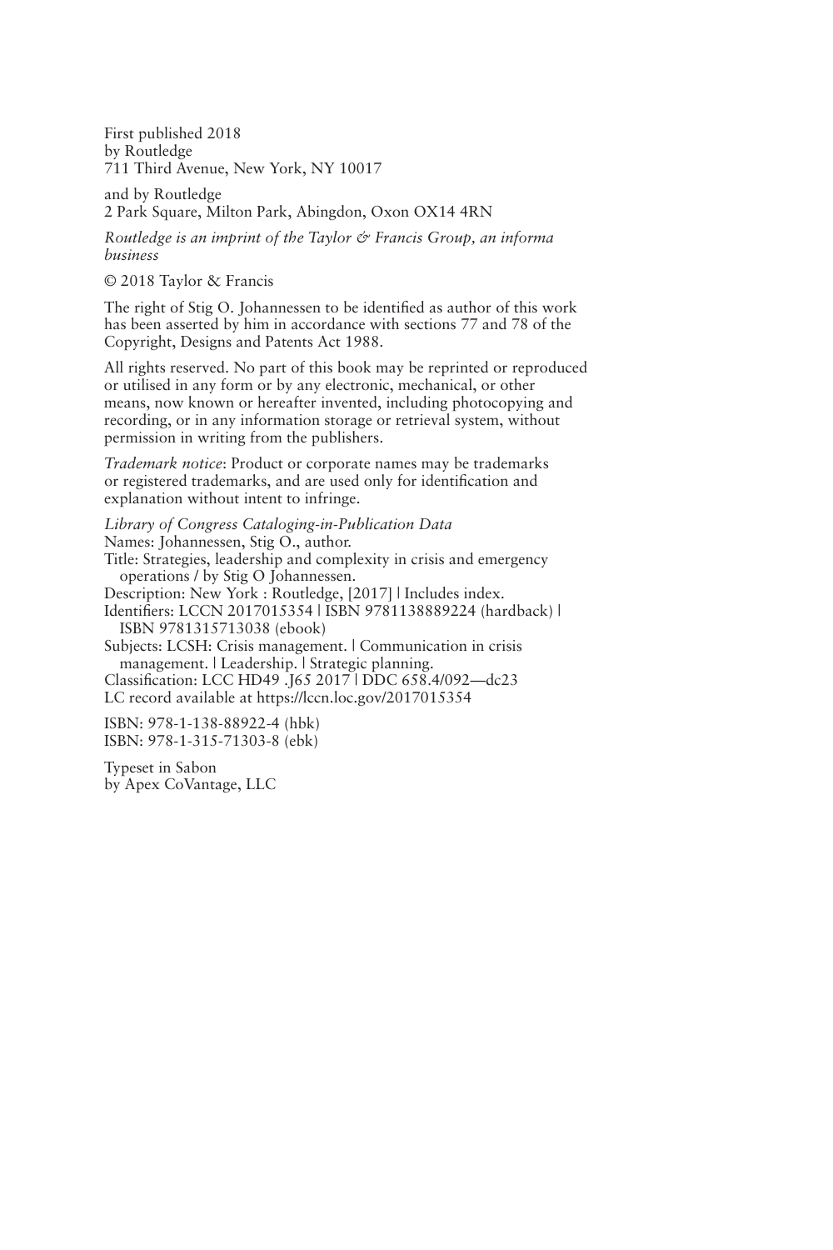First published 2018 by Routledge 711 Third Avenue, New York, NY 10017

and by Routledge 2 Park Square, Milton Park, Abingdon, Oxon OX14 4RN

*Routledge is an imprint of the Taylor & Francis Group, an informa business*

© 2018 Taylor & Francis

The right of Stig O. Johannessen to be identified as author of this work has been asserted by him in accordance with sections 77 and 78 of the Copyright, Designs and Patents Act 1988.

All rights reserved. No part of this book may be reprinted or reproduced or utilised in any form or by any electronic, mechanical, or other means, now known or hereafter invented, including photocopying and recording, or in any information storage or retrieval system, without permission in writing from the publishers.

*Trademark notice*: Product or corporate names may be trademarks or registered trademarks, and are used only for identification and explanation without intent to infringe.

*Library of Congress Cataloging-in-Publication Data* Names: Johannessen, Stig O., author. Title: Strategies, leadership and complexity in crisis and emergency operations / by Stig O Johannessen. Description: New York : Routledge, [2017] | Includes index. Identifiers: LCCN 2017015354 | ISBN 9781138889224 (hardback) | ISBN 9781315713038 (ebook) Subjects: LCSH: Crisis management. | Communication in crisis management. | Leadership. | Strategic planning. Classification: LCC HD49 .J65 2017 | DDC 658.4/092—dc23 LC record available at https://lccn.loc.gov/2017015354

ISBN: 978-1-138-88922-4 (hbk) ISBN: 978-1-315-71303-8 (ebk)

Typeset in Sabon by Apex CoVantage, LLC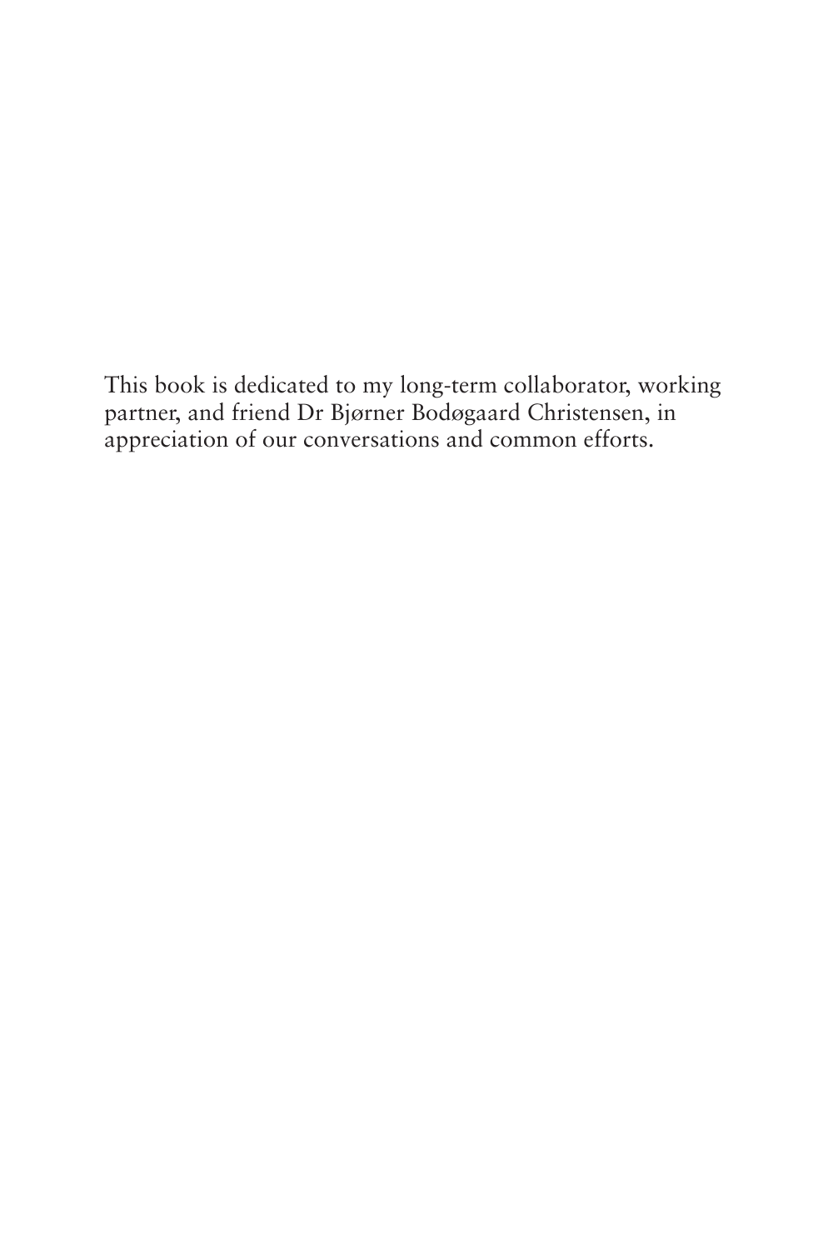This book is dedicated to my long-term collaborator, working partner, and friend Dr Bjørner Bodøgaard Christensen, in appreciation of our conversations and common efforts.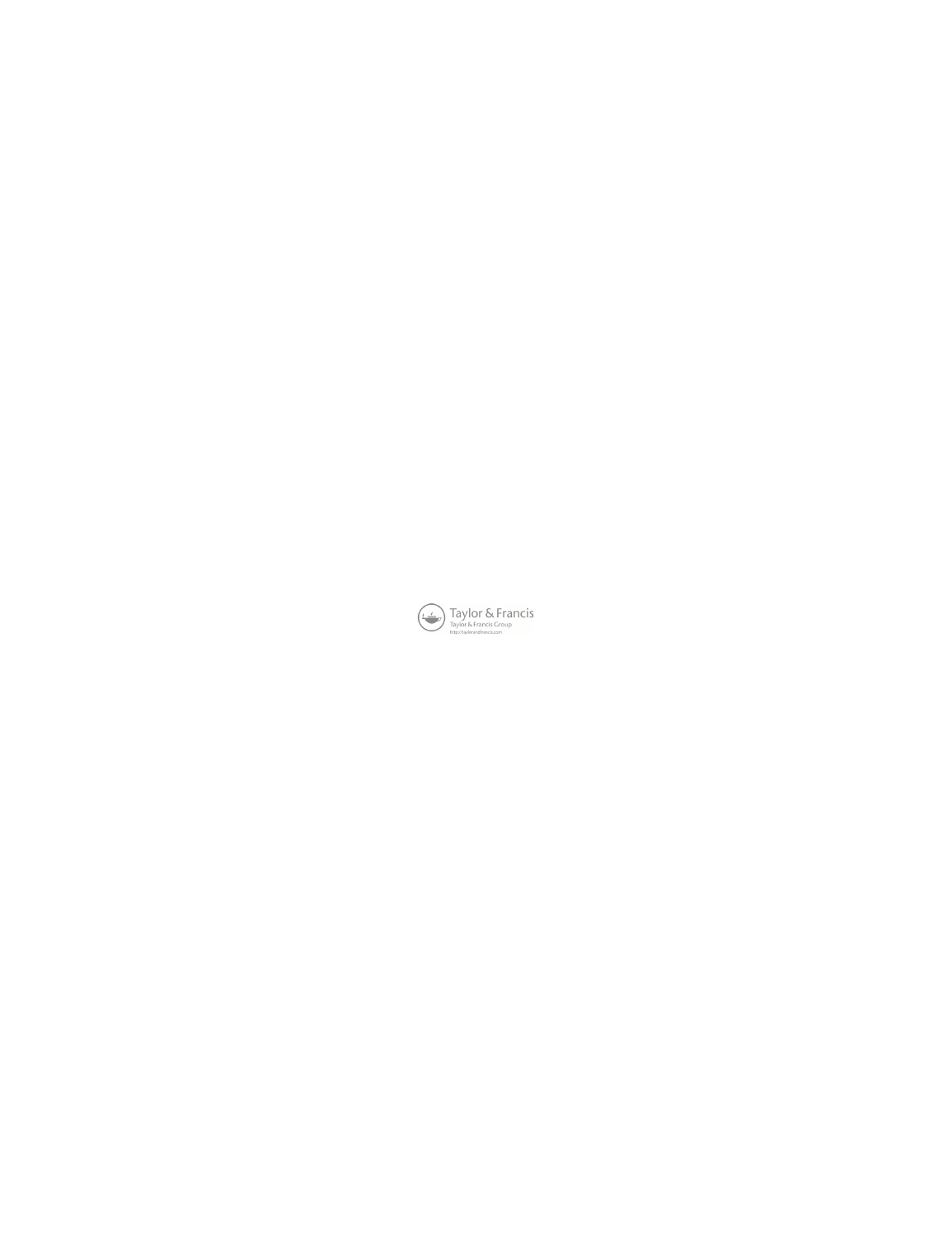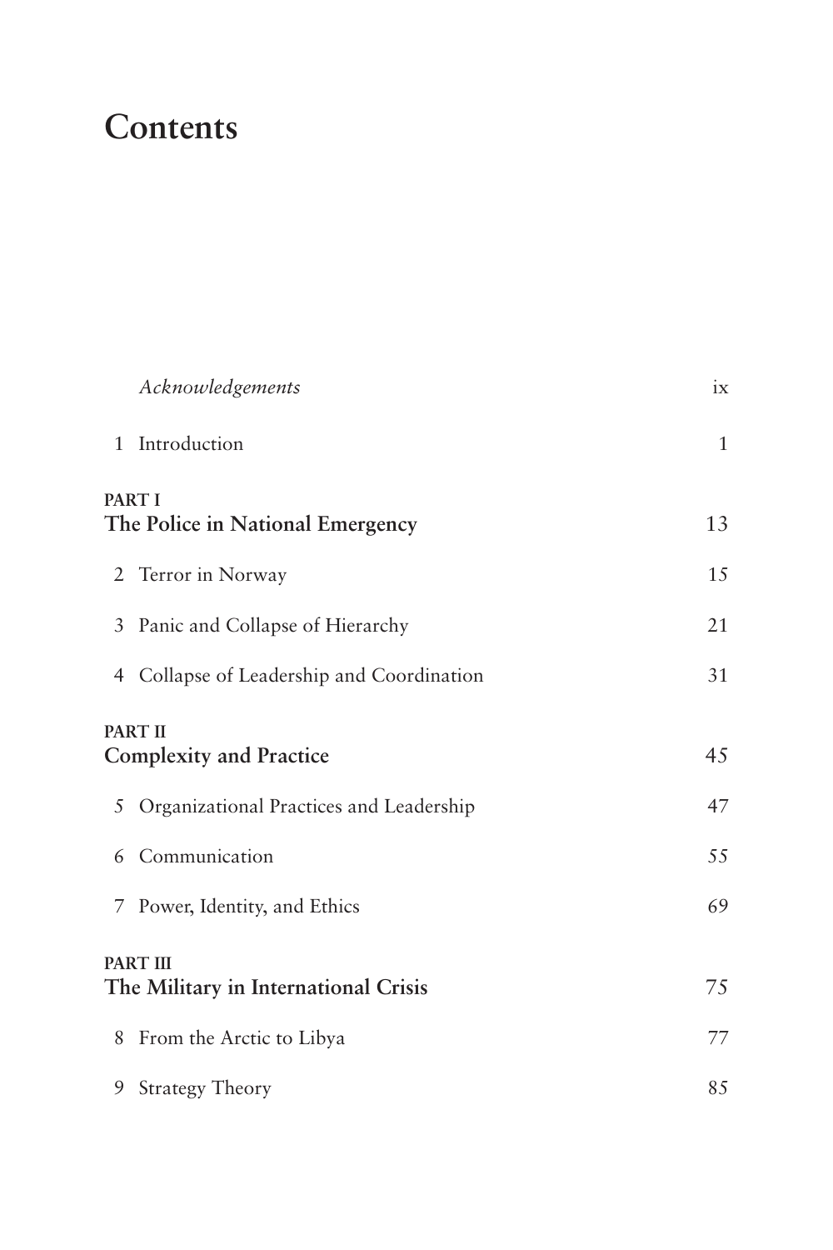# **Contents**

|                                                  | Acknowledgements                          | ix           |
|--------------------------------------------------|-------------------------------------------|--------------|
|                                                  | 1 Introduction                            | $\mathbf{1}$ |
| PART I<br>The Police in National Emergency       |                                           | 13           |
|                                                  | 2 Terror in Norway                        | 15           |
|                                                  | 3 Panic and Collapse of Hierarchy         | 21           |
|                                                  | 4 Collapse of Leadership and Coordination | 31           |
| <b>PART II</b><br><b>Complexity and Practice</b> |                                           | 45           |
| 5                                                | Organizational Practices and Leadership   | 47           |
| 6                                                | Communication                             | 55           |
|                                                  | 7 Power, Identity, and Ethics             | 69           |
| PART III<br>The Military in International Crisis |                                           | 75           |
|                                                  | 8 From the Arctic to Libya                | 77           |
|                                                  | 9 Strategy Theory                         | 85           |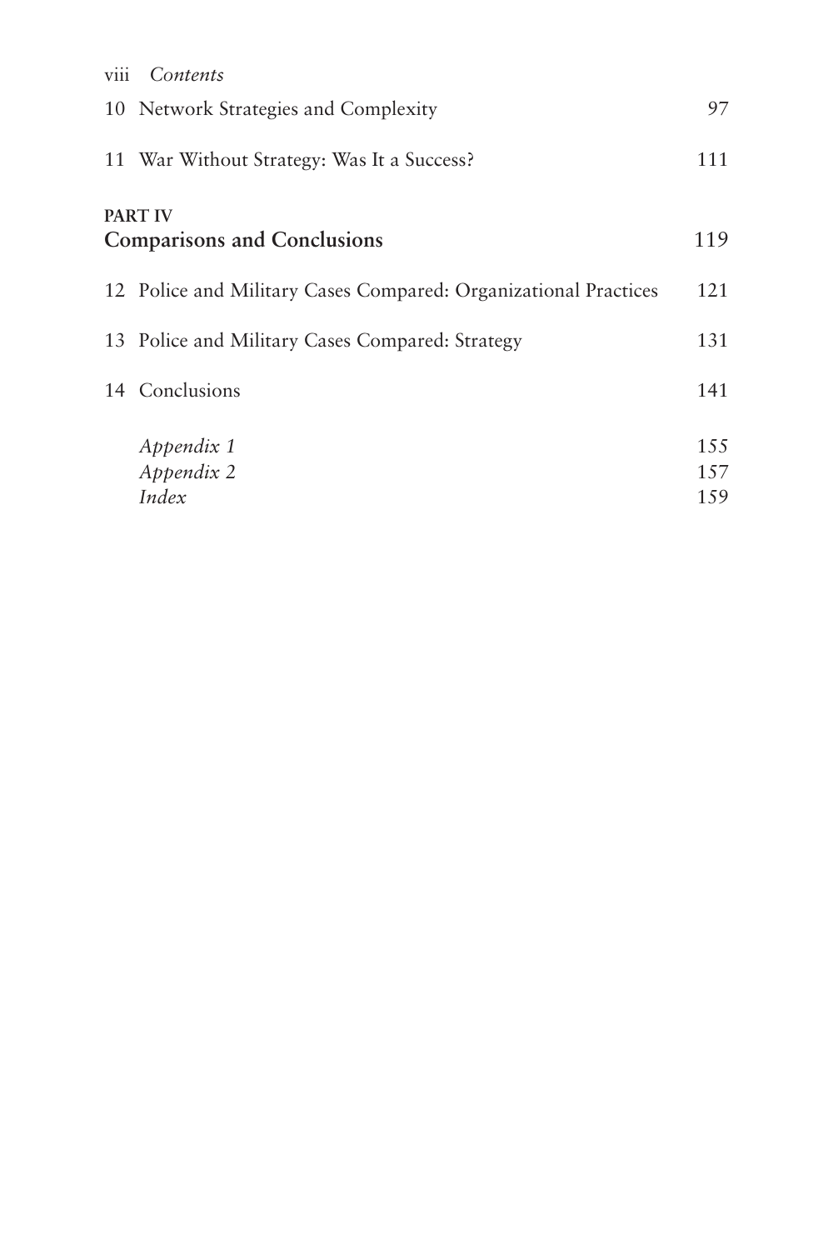|                                                      | viii Contents                                                   |               |
|------------------------------------------------------|-----------------------------------------------------------------|---------------|
|                                                      | 10 Network Strategies and Complexity                            | 97            |
|                                                      | 11 War Without Strategy: Was It a Success?                      | 111           |
| <b>PART IV</b><br><b>Comparisons and Conclusions</b> |                                                                 | 119           |
|                                                      | 12 Police and Military Cases Compared: Organizational Practices | 121           |
|                                                      | 13 Police and Military Cases Compared: Strategy                 | 131           |
|                                                      | 14 Conclusions                                                  | 141           |
|                                                      | Appendix 1<br>Appendix 2                                        | 1.5.5<br>1.57 |
|                                                      | Index                                                           | 159           |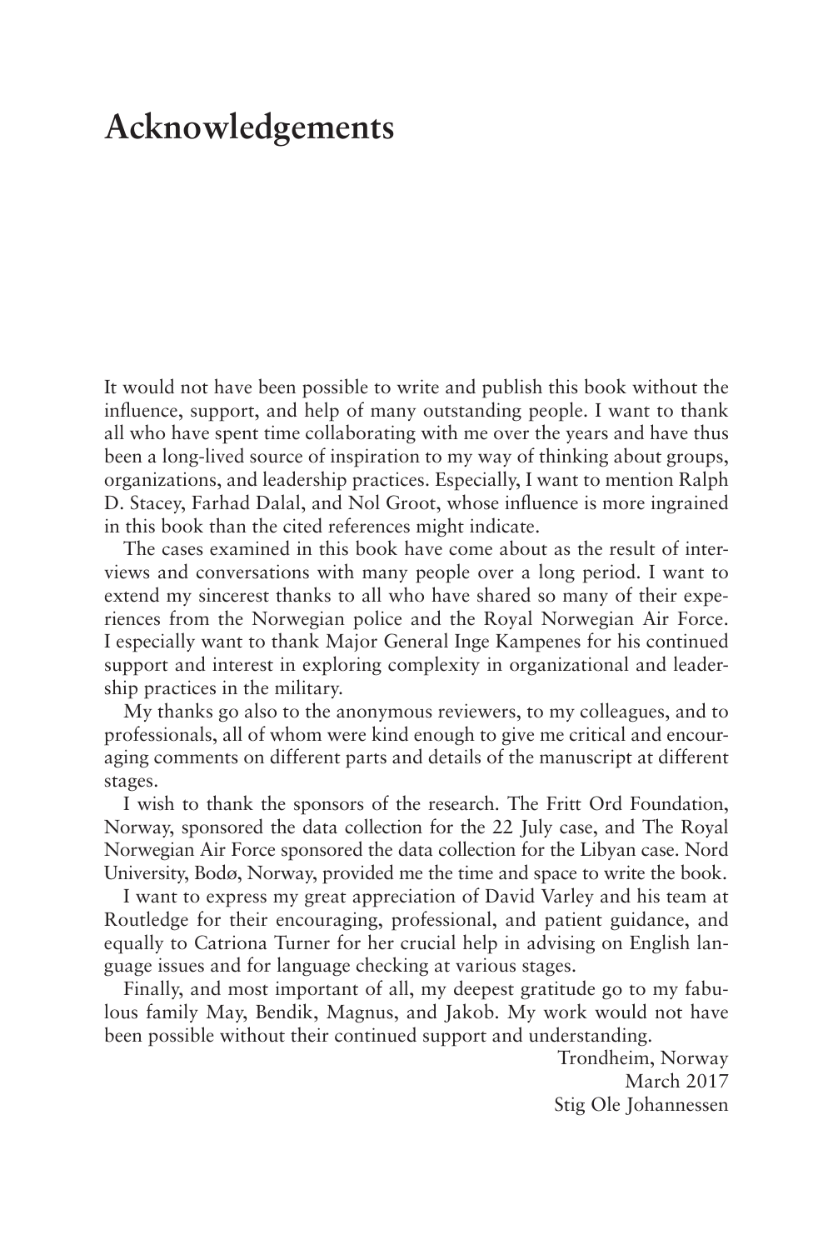# **Acknowledgements**

It would not have been possible to write and publish this book without the influence, support, and help of many outstanding people. I want to thank all who have spent time collaborating with me over the years and have thus been a long-lived source of inspiration to my way of thinking about groups, organizations, and leadership practices. Especially, I want to mention Ralph D. Stacey, Farhad Dalal, and Nol Groot, whose influence is more ingrained in this book than the cited references might indicate.

The cases examined in this book have come about as the result of interviews and conversations with many people over a long period. I want to extend my sincerest thanks to all who have shared so many of their experiences from the Norwegian police and the Royal Norwegian Air Force. I especially want to thank Major General Inge Kampenes for his continued support and interest in exploring complexity in organizational and leadership practices in the military.

My thanks go also to the anonymous reviewers, to my colleagues, and to professionals, all of whom were kind enough to give me critical and encouraging comments on different parts and details of the manuscript at different stages.

I wish to thank the sponsors of the research. The Fritt Ord Foundation, Norway, sponsored the data collection for the 22 July case, and The Royal Norwegian Air Force sponsored the data collection for the Libyan case. Nord University, Bodø, Norway, provided me the time and space to write the book.

I want to express my great appreciation of David Varley and his team at Routledge for their encouraging, professional, and patient guidance, and equally to Catriona Turner for her crucial help in advising on English language issues and for language checking at various stages.

Finally, and most important of all, my deepest gratitude go to my fabulous family May, Bendik, Magnus, and Jakob. My work would not have been possible without their continued support and understanding.

> Trondheim, Norway March 2017 Stig Ole Johannessen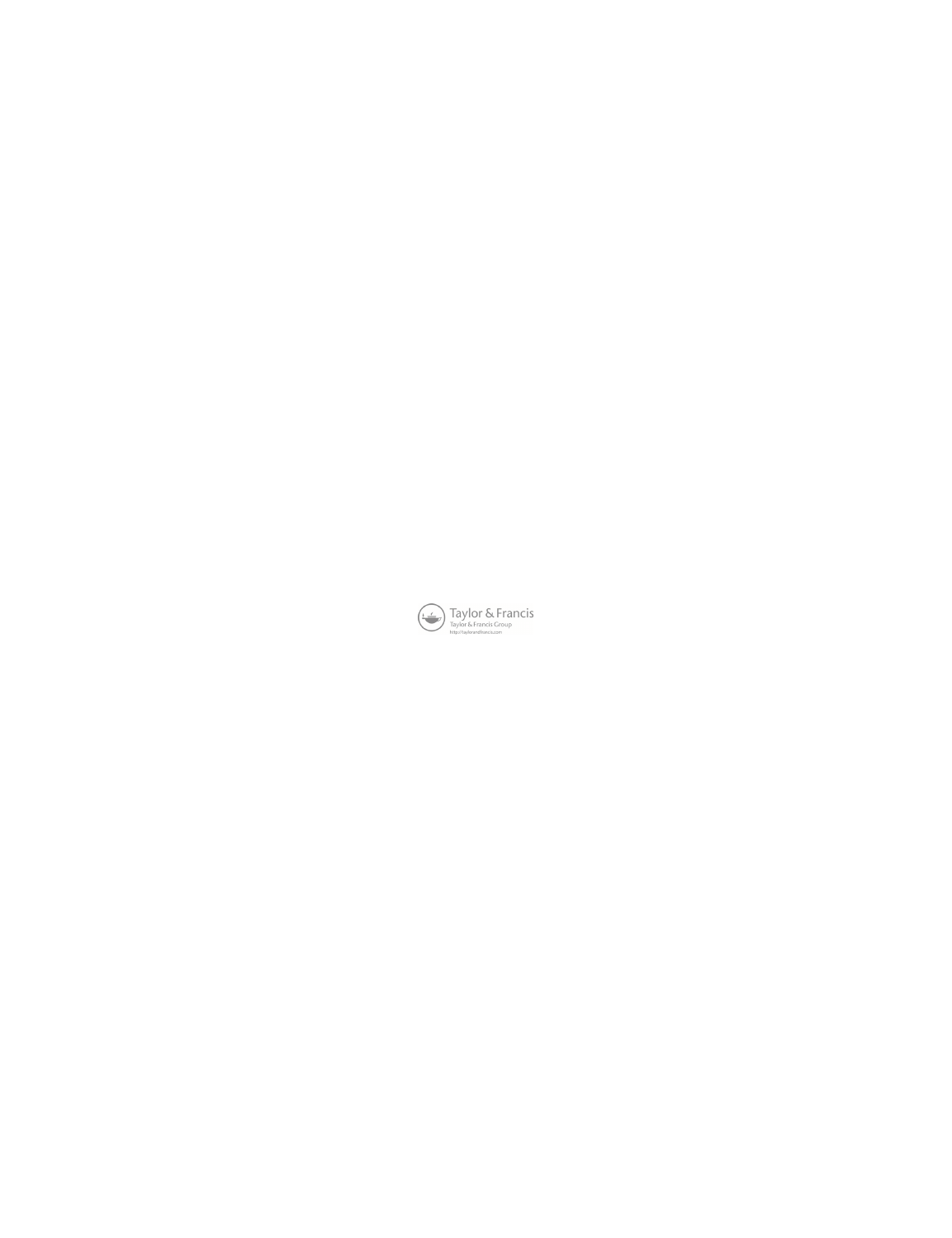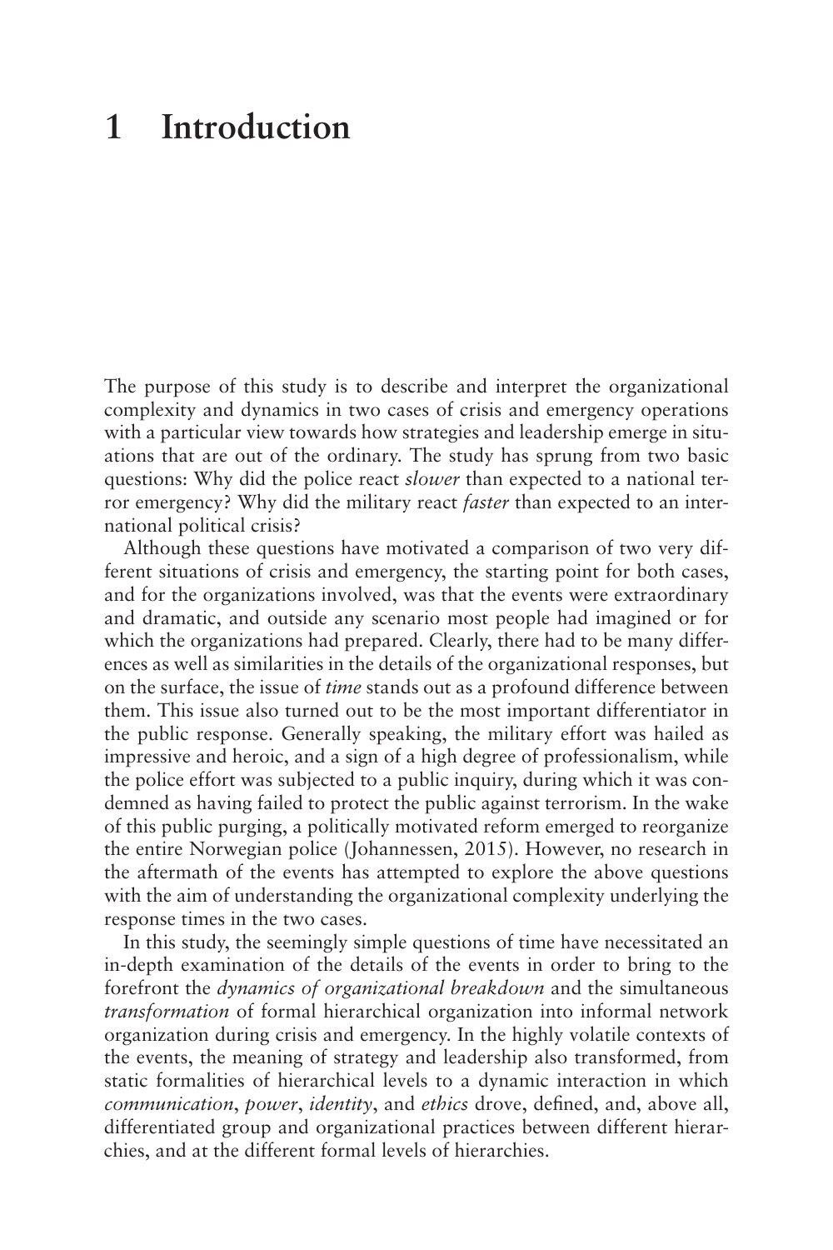The purpose of this study is to describe and interpret the organizational complexity and dynamics in two cases of crisis and emergency operations with a particular view towards how strategies and leadership emerge in situations that are out of the ordinary. The study has sprung from two basic questions: Why did the police react *slower* than expected to a national terror emergency? Why did the military react *faster* than expected to an international political crisis?

Although these questions have motivated a comparison of two very different situations of crisis and emergency, the starting point for both cases, and for the organizations involved, was that the events were extraordinary and dramatic, and outside any scenario most people had imagined or for which the organizations had prepared. Clearly, there had to be many differences as well as similarities in the details of the organizational responses, but on the surface, the issue of *time* stands out as a profound difference between them. This issue also turned out to be the most important differentiator in the public response. Generally speaking, the military effort was hailed as impressive and heroic, and a sign of a high degree of professionalism, while the police effort was subjected to a public inquiry, during which it was condemned as having failed to protect the public against terrorism. In the wake of this public purging, a politically motivated reform emerged to reorganize the entire Norwegian police (Johannessen, 2015). However, no research in the aftermath of the events has attempted to explore the above questions with the aim of understanding the organizational complexity underlying the response times in the two cases.

In this study, the seemingly simple questions of time have necessitated an in-depth examination of the details of the events in order to bring to the forefront the *dynamics of organizational breakdown* and the simultaneous *transformation* of formal hierarchical organization into informal network organization during crisis and emergency. In the highly volatile contexts of the events, the meaning of strategy and leadership also transformed, from static formalities of hierarchical levels to a dynamic interaction in which *communication*, *power*, *identity*, and *ethics* drove, defined, and, above all, differentiated group and organizational practices between different hierarchies, and at the different formal levels of hierarchies.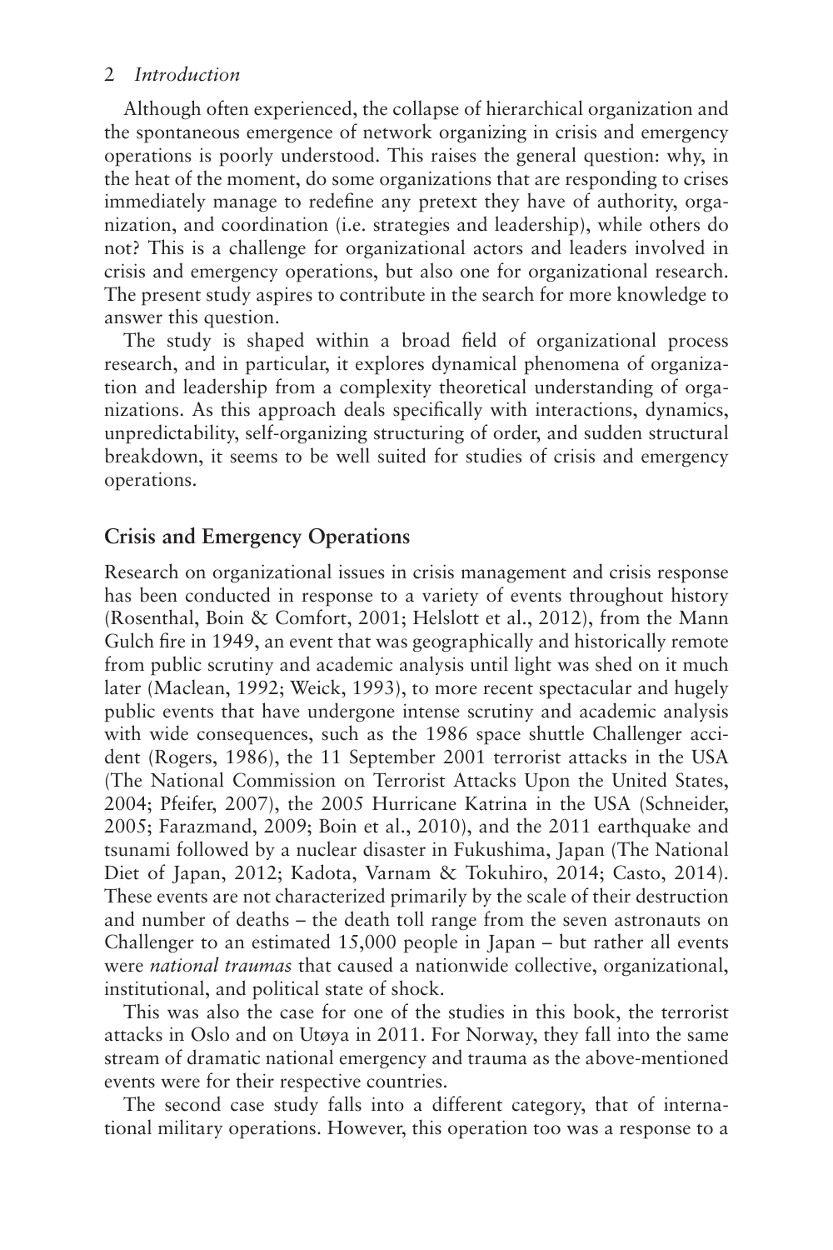Although often experienced, the collapse of hierarchical organization and the spontaneous emergence of network organizing in crisis and emergency operations is poorly understood. This raises the general question: why, in the heat of the moment, do some organizations that are responding to crises immediately manage to redefine any pretext they have of authority, organization, and coordination (i.e. strategies and leadership), while others do not? This is a challenge for organizational actors and leaders involved in crisis and emergency operations, but also one for organizational research. The present study aspires to contribute in the search for more knowledge to answer this question.

The study is shaped within a broad field of organizational process research, and in particular, it explores dynamical phenomena of organization and leadership from a complexity theoretical understanding of organizations. As this approach deals specifically with interactions, dynamics, unpredictability, self-organizing structuring of order, and sudden structural breakdown, it seems to be well suited for studies of crisis and emergency operations.

#### **Crisis and Emergency Operations**

Research on organizational issues in crisis management and crisis response has been conducted in response to a variety of events throughout history (Rosenthal, Boin & Comfort, 2001; Helslott et al., 2012), from the Mann Gulch fire in 1949, an event that was geographically and historically remote from public scrutiny and academic analysis until light was shed on it much later (Maclean, 1992; Weick, 1993), to more recent spectacular and hugely public events that have undergone intense scrutiny and academic analysis with wide consequences, such as the 1986 space shuttle Challenger accident (Rogers, 1986), the 11 September 2001 terrorist attacks in the USA (The National Commission on Terrorist Attacks Upon the United States, 2004; Pfeifer, 2007), the 2005 Hurricane Katrina in the USA (Schneider, 2005; Farazmand, 2009; Boin et al., 2010), and the 2011 earthquake and tsunami followed by a nuclear disaster in Fukushima, Japan (The National Diet of Japan, 2012; Kadota, Varnam & Tokuhiro, 2014; Casto, 2014). These events are not characterized primarily by the scale of their destruction and number of deaths – the death toll range from the seven astronauts on Challenger to an estimated 15,000 people in Japan – but rather all events were *national traumas* that caused a nationwide collective, organizational, institutional, and political state of shock.

This was also the case for one of the studies in this book, the terrorist attacks in Oslo and on Utøya in 2011. For Norway, they fall into the same stream of dramatic national emergency and trauma as the above-mentioned events were for their respective countries.

The second case study falls into a different category, that of international military operations. However, this operation too was a response to a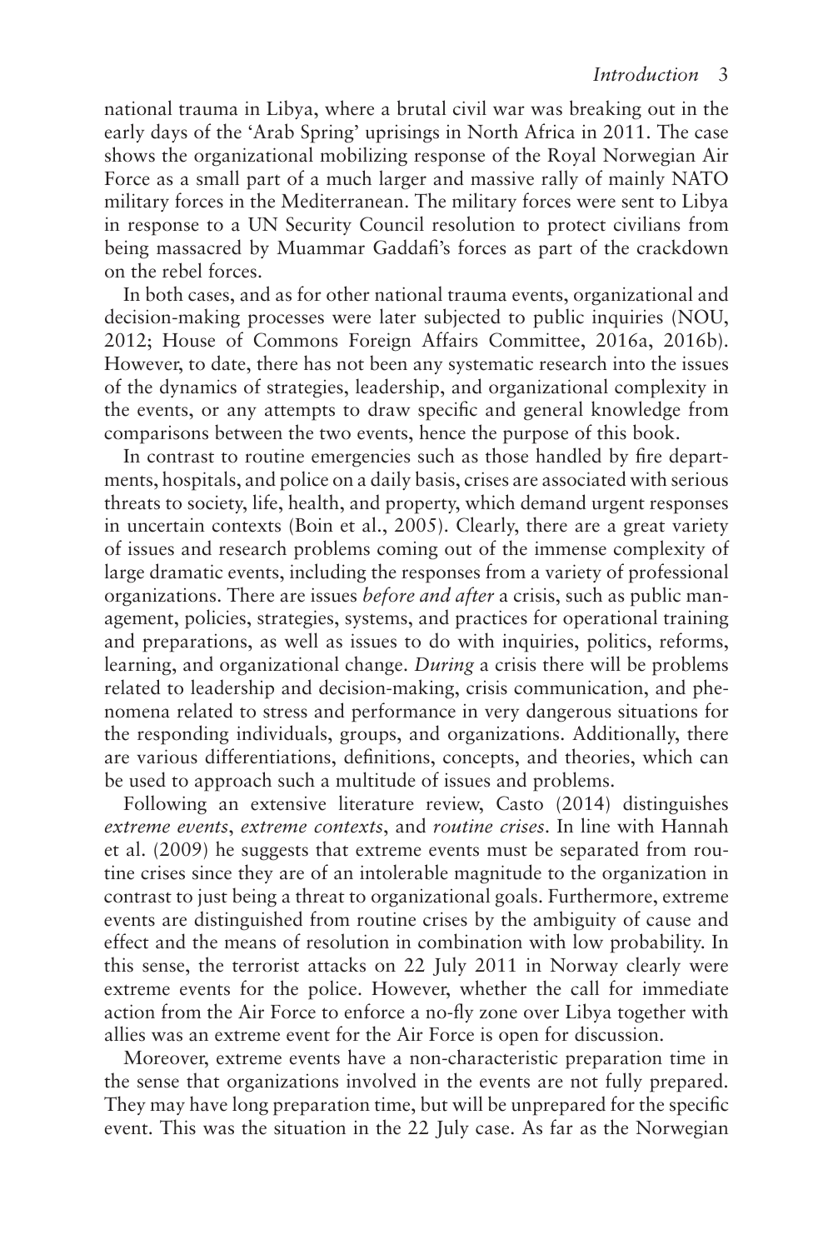national trauma in Libya, where a brutal civil war was breaking out in the early days of the 'Arab Spring' uprisings in North Africa in 2011. The case shows the organizational mobilizing response of the Royal Norwegian Air Force as a small part of a much larger and massive rally of mainly NATO military forces in the Mediterranean. The military forces were sent to Libya in response to a UN Security Council resolution to protect civilians from being massacred by Muammar Gaddafi's forces as part of the crackdown on the rebel forces.

In both cases, and as for other national trauma events, organizational and decision-making processes were later subjected to public inquiries (NOU, 2012; House of Commons Foreign Affairs Committee, 2016a, 2016b). However, to date, there has not been any systematic research into the issues of the dynamics of strategies, leadership, and organizational complexity in the events, or any attempts to draw specific and general knowledge from comparisons between the two events, hence the purpose of this book.

In contrast to routine emergencies such as those handled by fire departments, hospitals, and police on a daily basis, crises are associated with serious threats to society, life, health, and property, which demand urgent responses in uncertain contexts (Boin et al., 2005). Clearly, there are a great variety of issues and research problems coming out of the immense complexity of large dramatic events, including the responses from a variety of professional organizations. There are issues *before and after* a crisis, such as public management, policies, strategies, systems, and practices for operational training and preparations, as well as issues to do with inquiries, politics, reforms, learning, and organizational change. *During* a crisis there will be problems related to leadership and decision-making, crisis communication, and phenomena related to stress and performance in very dangerous situations for the responding individuals, groups, and organizations. Additionally, there are various differentiations, definitions, concepts, and theories, which can be used to approach such a multitude of issues and problems.

Following an extensive literature review, Casto (2014) distinguishes *extreme events*, *extreme contexts*, and *routine crises*. In line with Hannah et al. (2009) he suggests that extreme events must be separated from routine crises since they are of an intolerable magnitude to the organization in contrast to just being a threat to organizational goals. Furthermore, extreme events are distinguished from routine crises by the ambiguity of cause and effect and the means of resolution in combination with low probability. In this sense, the terrorist attacks on 22 July 2011 in Norway clearly were extreme events for the police. However, whether the call for immediate action from the Air Force to enforce a no-fly zone over Libya together with allies was an extreme event for the Air Force is open for discussion.

Moreover, extreme events have a non-characteristic preparation time in the sense that organizations involved in the events are not fully prepared. They may have long preparation time, but will be unprepared for the specific event. This was the situation in the 22 July case. As far as the Norwegian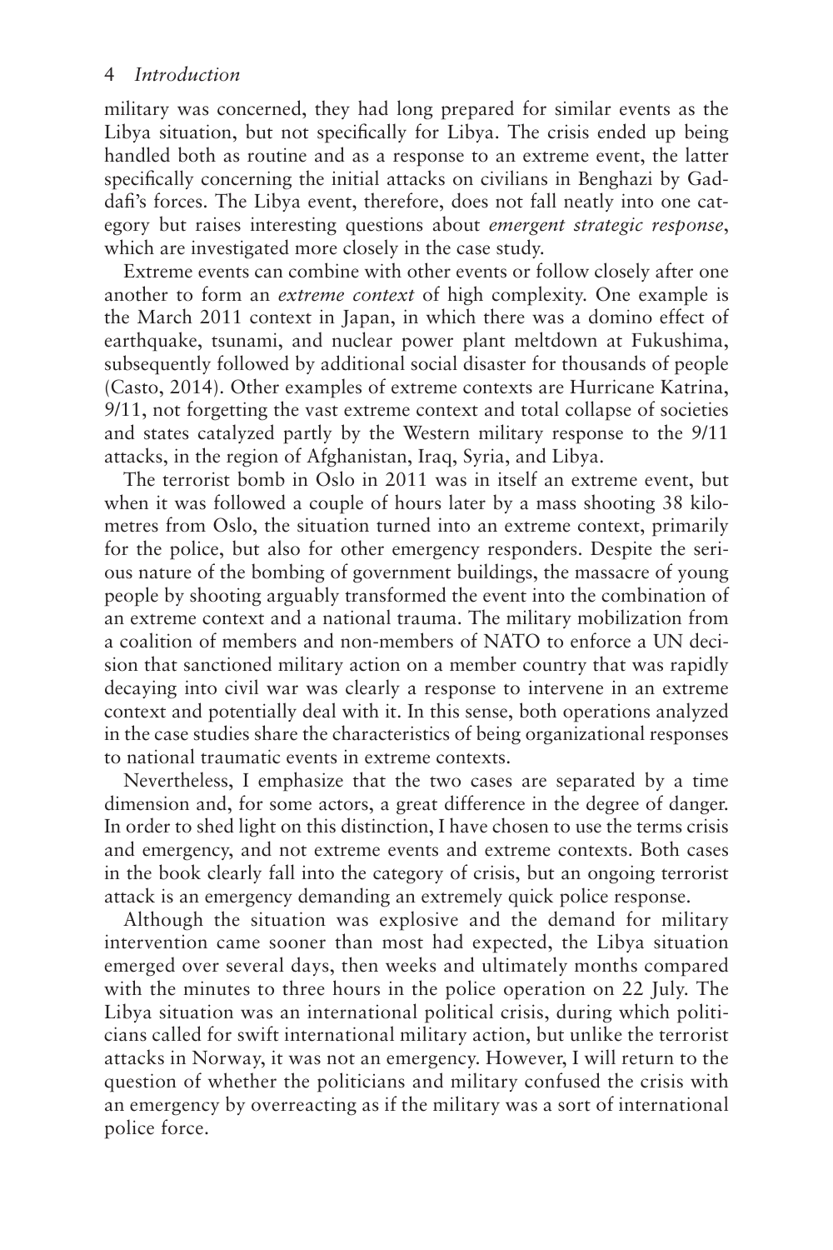military was concerned, they had long prepared for similar events as the Libya situation, but not specifically for Libya. The crisis ended up being handled both as routine and as a response to an extreme event, the latter specifically concerning the initial attacks on civilians in Benghazi by Gaddafi's forces. The Libya event, therefore, does not fall neatly into one category but raises interesting questions about *emergent strategic response*, which are investigated more closely in the case study.

Extreme events can combine with other events or follow closely after one another to form an *extreme context* of high complexity. One example is the March 2011 context in Japan, in which there was a domino effect of earthquake, tsunami, and nuclear power plant meltdown at Fukushima, subsequently followed by additional social disaster for thousands of people (Casto, 2014). Other examples of extreme contexts are Hurricane Katrina, 9/11, not forgetting the vast extreme context and total collapse of societies and states catalyzed partly by the Western military response to the 9/11 attacks, in the region of Afghanistan, Iraq, Syria, and Libya.

The terrorist bomb in Oslo in 2011 was in itself an extreme event, but when it was followed a couple of hours later by a mass shooting 38 kilometres from Oslo, the situation turned into an extreme context, primarily for the police, but also for other emergency responders. Despite the serious nature of the bombing of government buildings, the massacre of young people by shooting arguably transformed the event into the combination of an extreme context and a national trauma. The military mobilization from a coalition of members and non-members of NATO to enforce a UN decision that sanctioned military action on a member country that was rapidly decaying into civil war was clearly a response to intervene in an extreme context and potentially deal with it. In this sense, both operations analyzed in the case studies share the characteristics of being organizational responses to national traumatic events in extreme contexts.

Nevertheless, I emphasize that the two cases are separated by a time dimension and, for some actors, a great difference in the degree of danger. In order to shed light on this distinction, I have chosen to use the terms crisis and emergency, and not extreme events and extreme contexts. Both cases in the book clearly fall into the category of crisis, but an ongoing terrorist attack is an emergency demanding an extremely quick police response.

Although the situation was explosive and the demand for military intervention came sooner than most had expected, the Libya situation emerged over several days, then weeks and ultimately months compared with the minutes to three hours in the police operation on 22 July. The Libya situation was an international political crisis, during which politicians called for swift international military action, but unlike the terrorist attacks in Norway, it was not an emergency. However, I will return to the question of whether the politicians and military confused the crisis with an emergency by overreacting as if the military was a sort of international police force.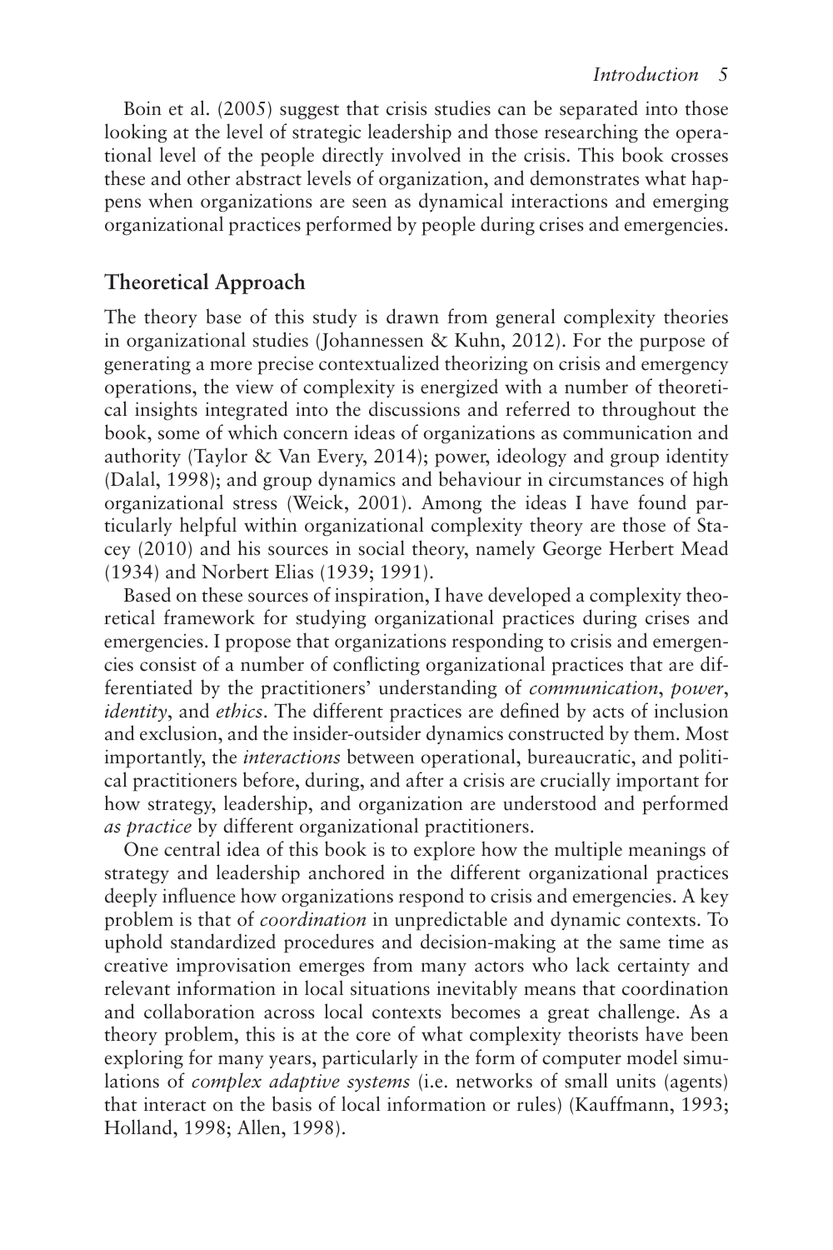Boin et al. (2005) suggest that crisis studies can be separated into those looking at the level of strategic leadership and those researching the operational level of the people directly involved in the crisis. This book crosses these and other abstract levels of organization, and demonstrates what happens when organizations are seen as dynamical interactions and emerging organizational practices performed by people during crises and emergencies.

#### **Theoretical Approach**

The theory base of this study is drawn from general complexity theories in organizational studies (Johannessen & Kuhn, 2012). For the purpose of generating a more precise contextualized theorizing on crisis and emergency operations, the view of complexity is energized with a number of theoretical insights integrated into the discussions and referred to throughout the book, some of which concern ideas of organizations as communication and authority (Taylor & Van Every, 2014); power, ideology and group identity (Dalal, 1998); and group dynamics and behaviour in circumstances of high organizational stress (Weick, 2001). Among the ideas I have found particularly helpful within organizational complexity theory are those of Stacey (2010) and his sources in social theory, namely George Herbert Mead (1934) and Norbert Elias (1939; 1991).

Based on these sources of inspiration, I have developed a complexity theoretical framework for studying organizational practices during crises and emergencies. I propose that organizations responding to crisis and emergencies consist of a number of conflicting organizational practices that are differentiated by the practitioners' understanding of *communication*, *power*, *identity*, and *ethics*. The different practices are defined by acts of inclusion and exclusion, and the insider-outsider dynamics constructed by them. Most importantly, the *interactions* between operational, bureaucratic, and political practitioners before, during, and after a crisis are crucially important for how strategy, leadership, and organization are understood and performed *as practice* by different organizational practitioners.

One central idea of this book is to explore how the multiple meanings of strategy and leadership anchored in the different organizational practices deeply influence how organizations respond to crisis and emergencies. A key problem is that of *coordination* in unpredictable and dynamic contexts. To uphold standardized procedures and decision-making at the same time as creative improvisation emerges from many actors who lack certainty and relevant information in local situations inevitably means that coordination and collaboration across local contexts becomes a great challenge. As a theory problem, this is at the core of what complexity theorists have been exploring for many years, particularly in the form of computer model simulations of *complex adaptive systems* (i.e. networks of small units (agents) that interact on the basis of local information or rules) (Kauffmann, 1993; Holland, 1998; Allen, 1998).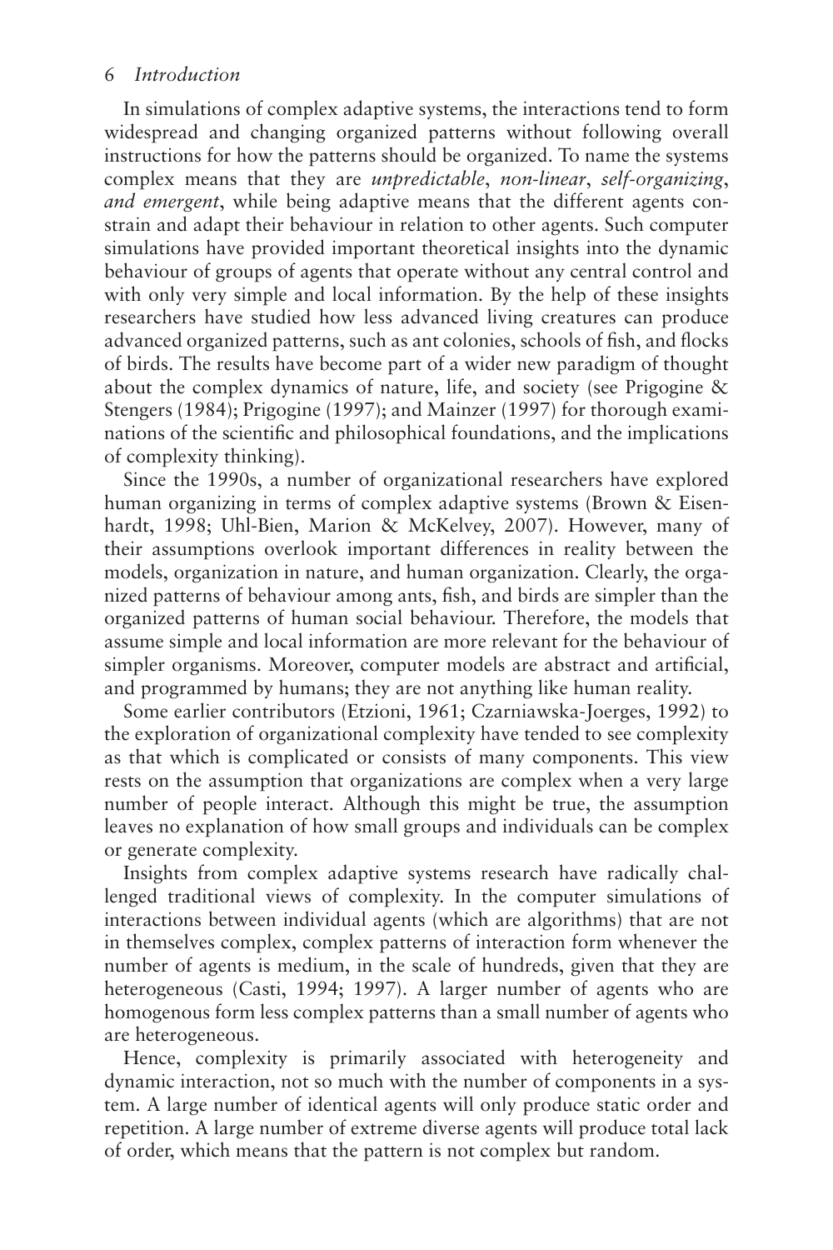In simulations of complex adaptive systems, the interactions tend to form widespread and changing organized patterns without following overall instructions for how the patterns should be organized. To name the systems complex means that they are *unpredictable*, *non-linear*, *self-organizing*, *and emergent*, while being adaptive means that the different agents constrain and adapt their behaviour in relation to other agents. Such computer simulations have provided important theoretical insights into the dynamic behaviour of groups of agents that operate without any central control and with only very simple and local information. By the help of these insights researchers have studied how less advanced living creatures can produce advanced organized patterns, such as ant colonies, schools of fish, and flocks of birds. The results have become part of a wider new paradigm of thought about the complex dynamics of nature, life, and society (see Prigogine & Stengers (1984); Prigogine (1997); and Mainzer (1997) for thorough examinations of the scientific and philosophical foundations, and the implications of complexity thinking).

Since the 1990s, a number of organizational researchers have explored human organizing in terms of complex adaptive systems (Brown & Eisenhardt, 1998; Uhl-Bien, Marion & McKelvey, 2007). However, many of their assumptions overlook important differences in reality between the models, organization in nature, and human organization. Clearly, the organized patterns of behaviour among ants, fish, and birds are simpler than the organized patterns of human social behaviour. Therefore, the models that assume simple and local information are more relevant for the behaviour of simpler organisms. Moreover, computer models are abstract and artificial, and programmed by humans; they are not anything like human reality.

Some earlier contributors (Etzioni, 1961; Czarniawska-Joerges, 1992) to the exploration of organizational complexity have tended to see complexity as that which is complicated or consists of many components. This view rests on the assumption that organizations are complex when a very large number of people interact. Although this might be true, the assumption leaves no explanation of how small groups and individuals can be complex or generate complexity.

Insights from complex adaptive systems research have radically challenged traditional views of complexity. In the computer simulations of interactions between individual agents (which are algorithms) that are not in themselves complex, complex patterns of interaction form whenever the number of agents is medium, in the scale of hundreds, given that they are heterogeneous (Casti, 1994; 1997). A larger number of agents who are homogenous form less complex patterns than a small number of agents who are heterogeneous.

Hence, complexity is primarily associated with heterogeneity and dynamic interaction, not so much with the number of components in a system. A large number of identical agents will only produce static order and repetition. A large number of extreme diverse agents will produce total lack of order, which means that the pattern is not complex but random.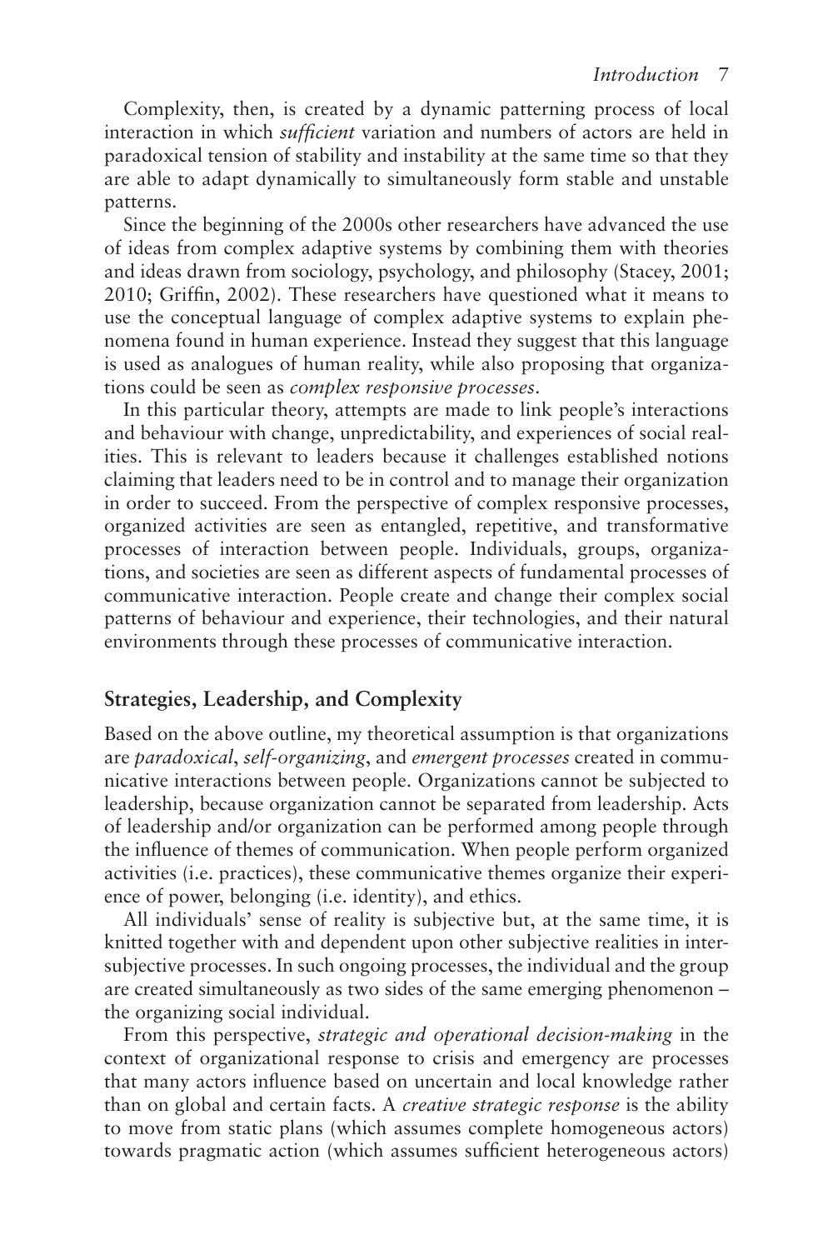Complexity, then, is created by a dynamic patterning process of local interaction in which *sufficient* variation and numbers of actors are held in paradoxical tension of stability and instability at the same time so that they are able to adapt dynamically to simultaneously form stable and unstable patterns.

Since the beginning of the 2000s other researchers have advanced the use of ideas from complex adaptive systems by combining them with theories and ideas drawn from sociology, psychology, and philosophy (Stacey, 2001; 2010; Griffin, 2002). These researchers have questioned what it means to use the conceptual language of complex adaptive systems to explain phenomena found in human experience. Instead they suggest that this language is used as analogues of human reality, while also proposing that organizations could be seen as *complex responsive processes*.

In this particular theory, attempts are made to link people's interactions and behaviour with change, unpredictability, and experiences of social realities. This is relevant to leaders because it challenges established notions claiming that leaders need to be in control and to manage their organization in order to succeed. From the perspective of complex responsive processes, organized activities are seen as entangled, repetitive, and transformative processes of interaction between people. Individuals, groups, organizations, and societies are seen as different aspects of fundamental processes of communicative interaction. People create and change their complex social patterns of behaviour and experience, their technologies, and their natural environments through these processes of communicative interaction.

#### **Strategies, Leadership, and Complexity**

Based on the above outline, my theoretical assumption is that organizations are *paradoxical*, *self-organizing*, and *emergent processes* created in communicative interactions between people. Organizations cannot be subjected to leadership, because organization cannot be separated from leadership. Acts of leadership and/or organization can be performed among people through the influence of themes of communication. When people perform organized activities (i.e. practices), these communicative themes organize their experience of power, belonging (i.e. identity), and ethics.

All individuals' sense of reality is subjective but, at the same time, it is knitted together with and dependent upon other subjective realities in intersubjective processes. In such ongoing processes, the individual and the group are created simultaneously as two sides of the same emerging phenomenon – the organizing social individual.

From this perspective, *strategic and operational decision-making* in the context of organizational response to crisis and emergency are processes that many actors influence based on uncertain and local knowledge rather than on global and certain facts. A *creative strategic response* is the ability to move from static plans (which assumes complete homogeneous actors) towards pragmatic action (which assumes sufficient heterogeneous actors)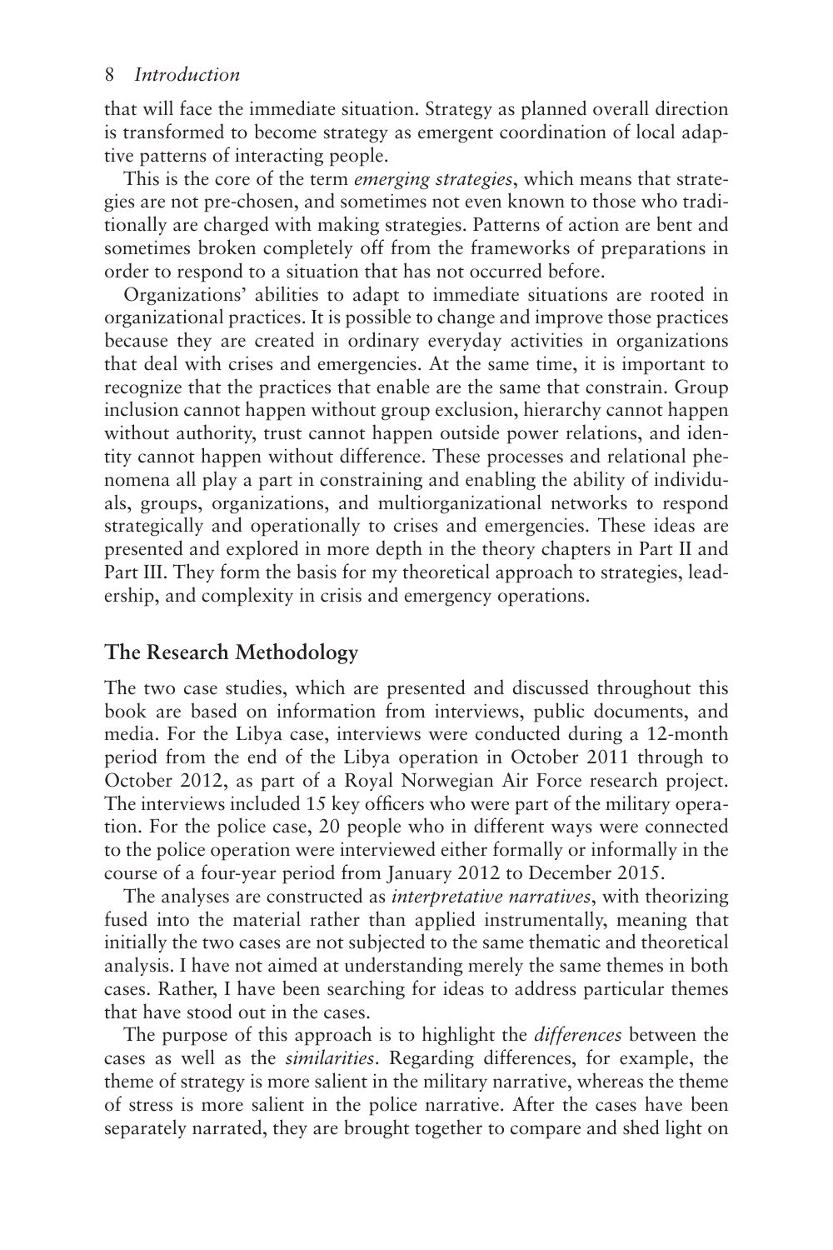that will face the immediate situation. Strategy as planned overall direction is transformed to become strategy as emergent coordination of local adaptive patterns of interacting people.

This is the core of the term *emerging strategies*, which means that strategies are not pre-chosen, and sometimes not even known to those who traditionally are charged with making strategies. Patterns of action are bent and sometimes broken completely off from the frameworks of preparations in order to respond to a situation that has not occurred before.

Organizations' abilities to adapt to immediate situations are rooted in organizational practices. It is possible to change and improve those practices because they are created in ordinary everyday activities in organizations that deal with crises and emergencies. At the same time, it is important to recognize that the practices that enable are the same that constrain. Group inclusion cannot happen without group exclusion, hierarchy cannot happen without authority, trust cannot happen outside power relations, and identity cannot happen without difference. These processes and relational phenomena all play a part in constraining and enabling the ability of individuals, groups, organizations, and multiorganizational networks to respond strategically and operationally to crises and emergencies. These ideas are presented and explored in more depth in the theory chapters in Part II and Part III. They form the basis for my theoretical approach to strategies, leadership, and complexity in crisis and emergency operations.

#### **The Research Methodology**

The two case studies, which are presented and discussed throughout this book are based on information from interviews, public documents, and media. For the Libya case, interviews were conducted during a 12-month period from the end of the Libya operation in October 2011 through to October 2012, as part of a Royal Norwegian Air Force research project. The interviews included 15 key officers who were part of the military operation. For the police case, 20 people who in different ways were connected to the police operation were interviewed either formally or informally in the course of a four-year period from January 2012 to December 2015.

The analyses are constructed as *interpretative narratives*, with theorizing fused into the material rather than applied instrumentally, meaning that initially the two cases are not subjected to the same thematic and theoretical analysis. I have not aimed at understanding merely the same themes in both cases. Rather, I have been searching for ideas to address particular themes that have stood out in the cases.

The purpose of this approach is to highlight the *differences* between the cases as well as the *similarities*. Regarding differences, for example, the theme of strategy is more salient in the military narrative, whereas the theme of stress is more salient in the police narrative. After the cases have been separately narrated, they are brought together to compare and shed light on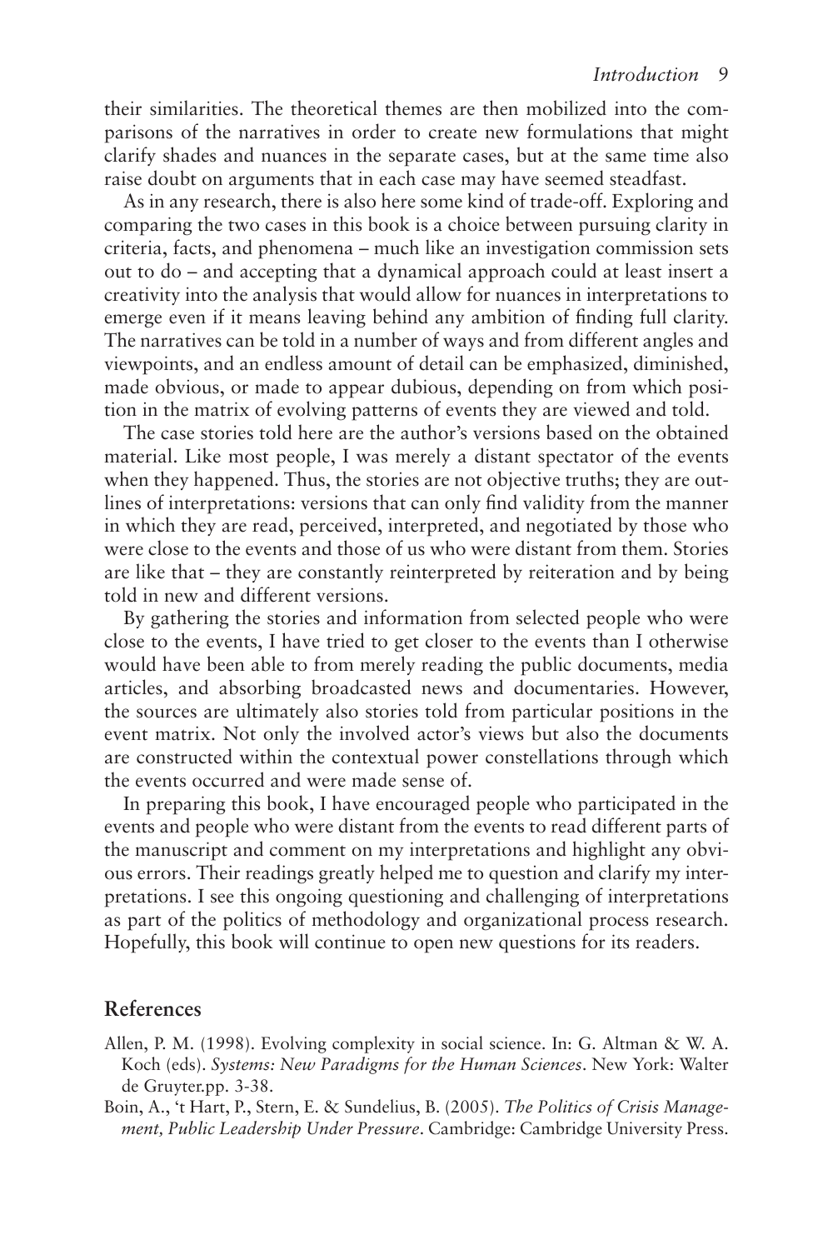their similarities. The theoretical themes are then mobilized into the comparisons of the narratives in order to create new formulations that might clarify shades and nuances in the separate cases, but at the same time also raise doubt on arguments that in each case may have seemed steadfast.

As in any research, there is also here some kind of trade-off. Exploring and comparing the two cases in this book is a choice between pursuing clarity in criteria, facts, and phenomena – much like an investigation commission sets out to do – and accepting that a dynamical approach could at least insert a creativity into the analysis that would allow for nuances in interpretations to emerge even if it means leaving behind any ambition of finding full clarity. The narratives can be told in a number of ways and from different angles and viewpoints, and an endless amount of detail can be emphasized, diminished, made obvious, or made to appear dubious, depending on from which position in the matrix of evolving patterns of events they are viewed and told.

The case stories told here are the author's versions based on the obtained material. Like most people, I was merely a distant spectator of the events when they happened. Thus, the stories are not objective truths; they are outlines of interpretations: versions that can only find validity from the manner in which they are read, perceived, interpreted, and negotiated by those who were close to the events and those of us who were distant from them. Stories are like that – they are constantly reinterpreted by reiteration and by being told in new and different versions.

By gathering the stories and information from selected people who were close to the events, I have tried to get closer to the events than I otherwise would have been able to from merely reading the public documents, media articles, and absorbing broadcasted news and documentaries. However, the sources are ultimately also stories told from particular positions in the event matrix. Not only the involved actor's views but also the documents are constructed within the contextual power constellations through which the events occurred and were made sense of.

In preparing this book, I have encouraged people who participated in the events and people who were distant from the events to read different parts of the manuscript and comment on my interpretations and highlight any obvious errors. Their readings greatly helped me to question and clarify my interpretations. I see this ongoing questioning and challenging of interpretations as part of the politics of methodology and organizational process research. Hopefully, this book will continue to open new questions for its readers.

#### **References**

- Allen, P. M. (1998). Evolving complexity in social science. In: G. Altman & W. A. Koch (eds). *Systems: New Paradigms for the Human Sciences*. New York: Walter de Gruyter.pp. 3-38.
- Boin, A., 't Hart, P., Stern, E. & Sundelius, B. (2005). *The Politics of Crisis Management, Public Leadership Under Pressure*. Cambridge: Cambridge University Press.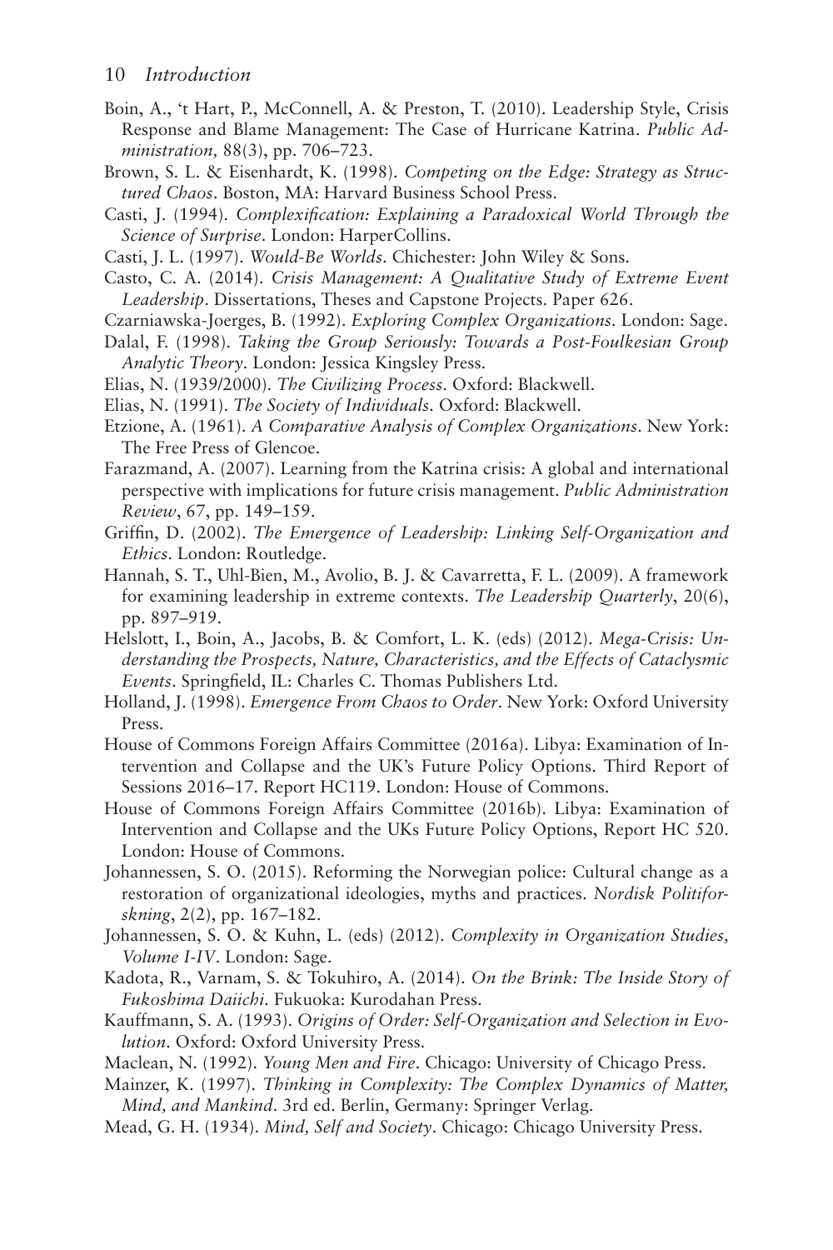- Boin, A., 't Hart, P., McConnell, A. & Preston, T. (2010). Leadership Style, Crisis Response and Blame Management: The Case of Hurricane Katrina. *Public Administration,* 88(3), pp. 706–723.
- Brown, S. L. & Eisenhardt, K. (1998). *Competing on the Edge: Strategy as Structured Chaos*. Boston, MA: Harvard Business School Press.
- Casti, J. (1994). *Complexification: Explaining a Paradoxical World Through the Science of Surprise*. London: HarperCollins.
- Casti, J. L. (1997). *Would-Be Worlds*. Chichester: John Wiley & Sons.
- Casto, C. A. (2014). *Crisis Management: A Qualitative Study of Extreme Event Leadership*. Dissertations, Theses and Capstone Projects. Paper 626.
- Czarniawska-Joerges, B. (1992). *Exploring Complex Organizations*. London: Sage.
- Dalal, F. (1998). *Taking the Group Seriously: Towards a Post-Foulkesian Group Analytic Theory*. London: Jessica Kingsley Press.
- Elias, N. (1939/2000). *The Civilizing Process*. Oxford: Blackwell.
- Elias, N. (1991). *The Society of Individuals*. Oxford: Blackwell.
- Etzione, A. (1961). *A Comparative Analysis of Complex Organizations*. New York: The Free Press of Glencoe.
- Farazmand, A. (2007). Learning from the Katrina crisis: A global and international perspective with implications for future crisis management. *Public Administration Review*, 67, pp. 149–159.
- Griffin, D. (2002). *The Emergence of Leadership: Linking Self-Organization and Ethics*. London: Routledge.
- Hannah, S. T., Uhl-Bien, M., Avolio, B. J. & Cavarretta, F. L. (2009). A framework for examining leadership in extreme contexts. *The Leadership Quarterly*, 20(6), pp. 897–919.
- Helslott, I., Boin, A., Jacobs, B. & Comfort, L. K. (eds) (2012). *Mega-Crisis: Understanding the Prospects, Nature, Characteristics, and the Effects of Cataclysmic Events*. Springfield, IL: Charles C. Thomas Publishers Ltd.
- Holland, J. (1998). *Emergence From Chaos to Order*. New York: Oxford University Press.
- House of Commons Foreign Affairs Committee (2016a). Libya: Examination of Intervention and Collapse and the UK's Future Policy Options. Third Report of Sessions 2016–17. Report HC119. London: House of Commons.
- House of Commons Foreign Affairs Committee (2016b). Libya: Examination of Intervention and Collapse and the UKs Future Policy Options, Report HC 520. London: House of Commons.
- Johannessen, S. O. (2015). Reforming the Norwegian police: Cultural change as a restoration of organizational ideologies, myths and practices. *Nordisk Politiforskning*, 2(2), pp. 167–182.
- Johannessen, S. O. & Kuhn, L. (eds) (2012). *Complexity in Organization Studies, Volume I-IV*. London: Sage.
- Kadota, R., Varnam, S. & Tokuhiro, A. (2014). *On the Brink: The Inside Story of Fukoshima Daiichi*. Fukuoka: Kurodahan Press.
- Kauffmann, S. A. (1993). *Origins of Order: Self-Organization and Selection in Evolution*. Oxford: Oxford University Press.
- Maclean, N. (1992). *Young Men and Fire*. Chicago: University of Chicago Press.
- Mainzer, K. (1997). *Thinking in Complexity: The Complex Dynamics of Matter, Mind, and Mankind*. 3rd ed. Berlin, Germany: Springer Verlag.
- Mead, G. H. (1934). *Mind, Self and Society*. Chicago: Chicago University Press.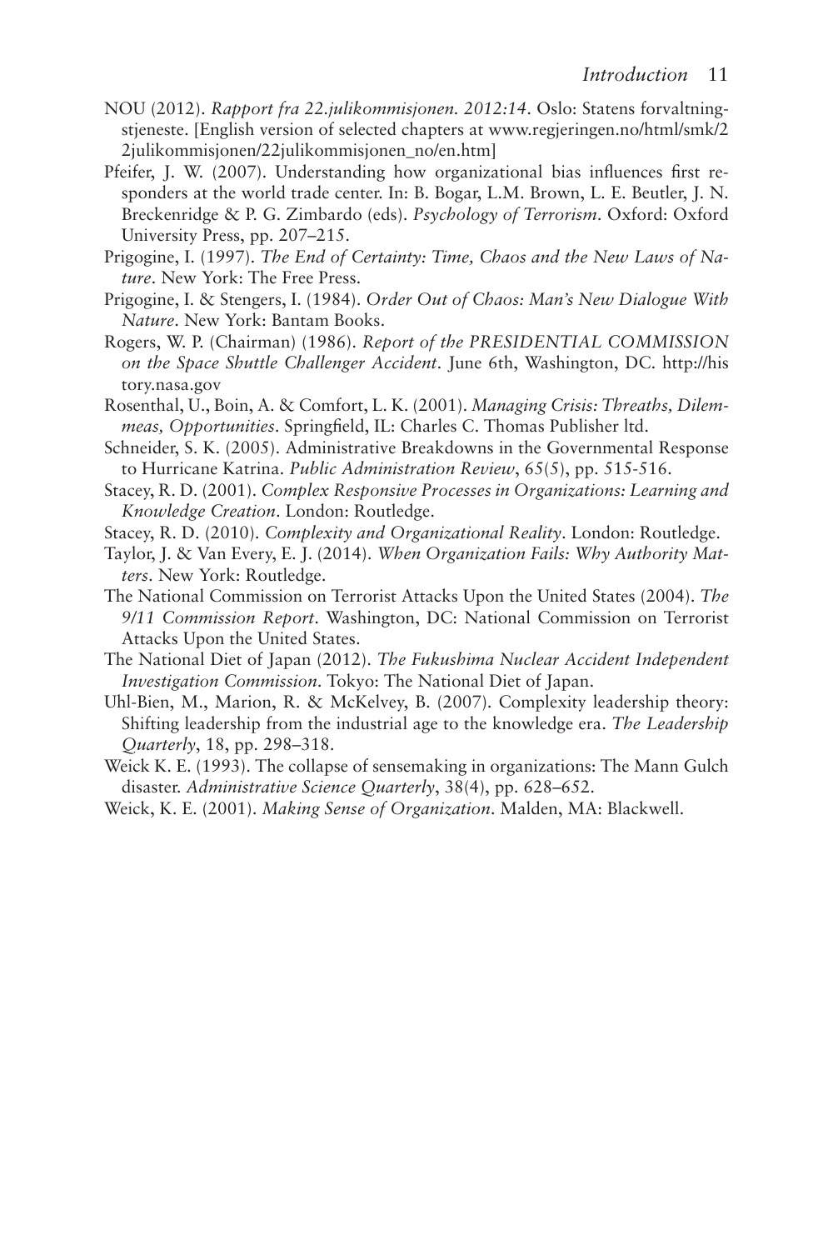- NOU (2012). *Rapport fra 22.julikommisjonen. 2012:14*. Oslo: Statens forvaltningstjeneste. [English version of selected chapters at [www.regjeringen.no/html/smk/2](http://www.regjeringen.no/html/smk/22julikommisjonen/22julikommisjonen_no/en.htm) [2julikommisjonen/22julikommisjonen\\_no/en.htm\]](http://www.regjeringen.no/html/smk/22julikommisjonen/22julikommisjonen_no/en.htm)
- Pfeifer, J. W. (2007). Understanding how organizational bias influences first responders at the world trade center. In: B. Bogar, L.M. Brown, L. E. Beutler, J. N. Breckenridge & P. G. Zimbardo (eds). *Psychology of Terrorism*. Oxford: Oxford University Press, pp. 207–215.
- Prigogine, I. (1997). *The End of Certainty: Time, Chaos and the New Laws of Nature*. New York: The Free Press.
- Prigogine, I. & Stengers, I. (1984). *Order Out of Chaos: Man's New Dialogue With Nature*. New York: Bantam Books.
- Rogers, W. P. (Chairman) (1986). *Report of the PRESIDENTIAL COMMISSION on the Space Shuttle Challenger Accident*. June 6th, Washington, DC. [http://his](http://history.nasa.gov) [tory.nasa.gov](http://history.nasa.gov)
- Rosenthal, U., Boin, A. & Comfort, L. K. (2001). *Managing Crisis: Threaths, Dilemmeas, Opportunities*. Springfield, IL: Charles C. Thomas Publisher ltd.
- Schneider, S. K. (2005). Administrative Breakdowns in the Governmental Response to Hurricane Katrina. *Public Administration Review*, 65(5), pp. 515-516.
- Stacey, R. D. (2001). *Complex Responsive Processes in Organizations: Learning and Knowledge Creation*. London: Routledge.
- Stacey, R. D. (2010). *Complexity and Organizational Reality*. London: Routledge.
- Taylor, J. & Van Every, E. J. (2014). *When Organization Fails: Why Authority Matters*. New York: Routledge.
- The National Commission on Terrorist Attacks Upon the United States (2004). *The 9/11 Commission Report*. Washington, DC: National Commission on Terrorist Attacks Upon the United States.
- The National Diet of Japan (2012). *The Fukushima Nuclear Accident Independent Investigation Commission*. Tokyo: The National Diet of Japan.
- Uhl-Bien, M., Marion, R. & McKelvey, B. (2007). Complexity leadership theory: Shifting leadership from the industrial age to the knowledge era. *The Leadership Quarterly*, 18, pp. 298–318.
- Weick K. E. (1993). The collapse of sensemaking in organizations: The Mann Gulch disaster. *Administrative Science Quarterly*, 38(4), pp. 628–652.
- Weick, K. E. (2001). *Making Sense of Organization*. Malden, MA: Blackwell.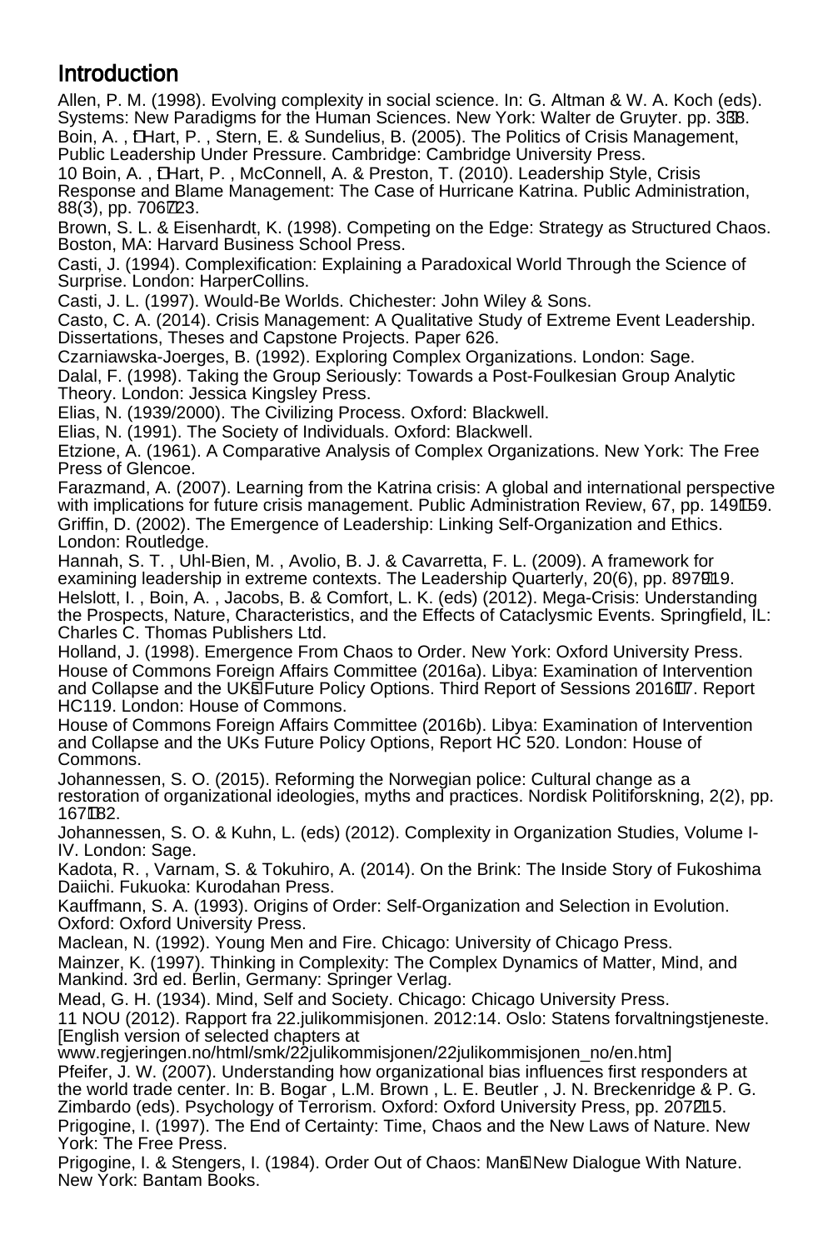Allen, P. M. (1998). Evolving complexity in social science. In: G. Altman & W. A. Koch (eds). Systems: New Paradigms for the Human Sciences. New York: Walter de Gruyter. pp. 3â38. Boin, A., t Hart, P., Stern, E. & Sundelius, B. (2005). The Politics of Crisis Management,

Public Leadership Under Pressure. Cambridge: Cambridge University Press. 10 Boin, A., t Hart, P., McConnell, A. & Preston, T. (2010). Leadership Style, Crisis Response and Blame Management: The Case of Hurricane Katrina. Public Administration, 88(3), pp. 706723.

Brown, S. L. & Eisenhardt, K. (1998). Competing on the Edge: Strategy as Structured Chaos. Boston, MA: Harvard Business School Press.

Casti, J. (1994). Complexification: Explaining a Paradoxical World Through the Science of Surprise. London: HarperCollins.

Casti, J. L. (1997). Would-Be Worlds. Chichester: John Wiley & Sons.

Casto, C. A. (2014). Crisis Management: A Qualitative Study of Extreme Event Leadership. Dissertations, Theses and Capstone Projects. Paper 626.

Czarniawska-Joerges, B. (1992). Exploring Complex Organizations. London: Sage. Dalal, F. (1998). Taking the Group Seriously: Towards a Post-Foulkesian Group Analytic Theory. London: Jessica Kingsley Press.

Elias, N. (1939/2000). The Civilizing Process. Oxford: Blackwell.

Elias, N. (1991). The Society of Individuals. Oxford: Blackwell.

Etzione, A. (1961). A Comparative Analysis of Complex Organizations. New York: The Free Press of Glencoe.

Farazmand, A. (2007). Learning from the Katrina crisis: A global and international perspective with implications for future crisis management. Public Administration Review, 67, pp. 149159. Griffin, D. (2002). The Emergence of Leadership: Linking Self-Organization and Ethics. London: Routledge.

Hannah, S. T. , Uhl-Bien, M. , Avolio, B. J. & Cavarretta, F. L. (2009). A framework for examining leadership in extreme contexts. The Leadership Quarterly, 20(6), pp. 897919. Helslott, I. , Boin, A. , Jacobs, B. & Comfort, L. K. (eds) (2012). Mega-Crisis: Understanding the Prospects, Nature, Characteristics, and the Effects of Cataclysmic Events. Springfield, IL: Charles C. Thomas Publishers Ltd.

Holland, J. (1998). Emergence From Chaos to Order. New York: Oxford University Press. House of Commons Foreign Affairs Committee (2016a). Libya: Examination of Intervention and Collapse and the UKs Future Policy Options. Third Report of Sessions 201617. Report HC119. London: House of Commons.

House of Commons Foreign Affairs Committee (2016b). Libya: Examination of Intervention and Collapse and the UKs Future Policy Options, Report HC 520. London: House of Commons.

Johannessen, S. O. (2015). Reforming the Norwegian police: Cultural change as a restoration of organizational ideologies, myths and practices. Nordisk Politiforskning, 2(2), pp. 167182.

Johannessen, S. O. & Kuhn, L. (eds) (2012). Complexity in Organization Studies, Volume I-IV. London: Sage.

Kadota, R. , Varnam, S. & Tokuhiro, A. (2014). On the Brink: The Inside Story of Fukoshima Daiichi. Fukuoka: Kurodahan Press.

Kauffmann, S. A. (1993). Origins of Order: Self-Organization and Selection in Evolution. Oxford: Oxford University Press.

Maclean, N. (1992). Young Men and Fire. Chicago: University of Chicago Press. Mainzer, K. (1997). Thinking in Complexity: The Complex Dynamics of Matter, Mind, and Mankind. 3rd ed. Berlin, Germany: Springer Verlag.

Mead, G. H. (1934). Mind, Self and Society. Chicago: Chicago University Press.

11 NOU (2012). Rapport fra 22.julikommisjonen. 2012:14. Oslo: Statens forvaltningstjeneste. [English version of selected chapters at

www.regjeringen.no/html/smk/22julikommisjonen/22julikommisjonen\_no/en.htm] Pfeifer, J. W. (2007). Understanding how organizational bias influences first responders at the world trade center. In: B. Bogar , L.M. Brown , L. E. Beutler , J. N. Breckenridge & P. G. Zimbardo (eds). Psychology of Terrorism. Oxford: Oxford University Press, pp. 207215. Prigogine, I. (1997). The End of Certainty: Time, Chaos and the New Laws of Nature. New York: The Free Press.

Prigogine, I. & Stengers, I. (1984). Order Out of Chaos: Manâs New Dialogue With Nature. New York: Bantam Books.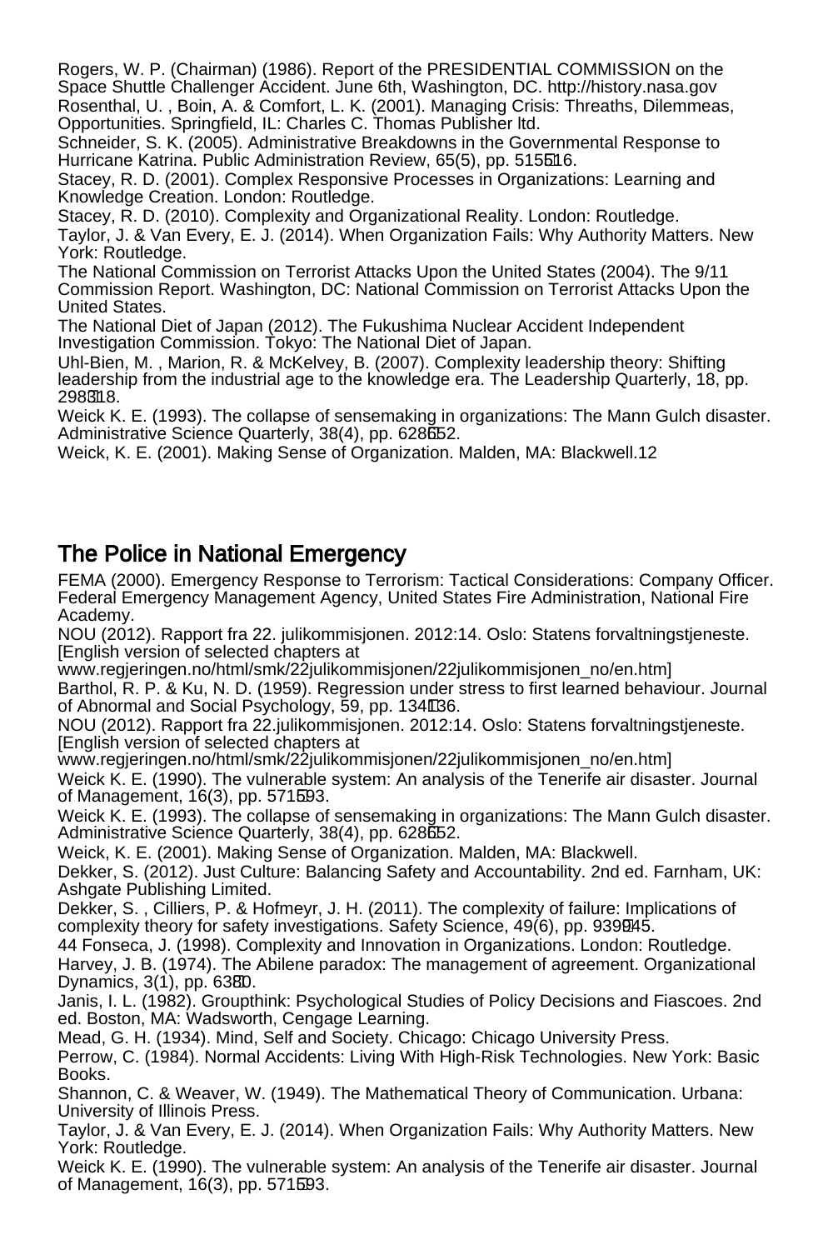Rogers, W. P. (Chairman) (1986). Report of the PRESIDENTIAL COMMISSION on the Space Shuttle Challenger Accident. June 6th, Washington, DC. http://history.nasa.gov Rosenthal, U. , Boin, A. & Comfort, L. K. (2001). Managing Crisis: Threaths, Dilemmeas, Opportunities. Springfield, IL: Charles C. Thomas Publisher ltd.

Schneider, S. K. (2005). Administrative Breakdowns in the Governmental Response to Hurricane Katrina. Public Administration Review, 65(5), pp. 515516.

Stacey, R. D. (2001). Complex Responsive Processes in Organizations: Learning and Knowledge Creation. London: Routledge.

Stacev. R. D. (2010). Complexity and Organizational Reality. London: Routledge. Taylor, J. & Van Every, E. J. (2014). When Organization Fails: Why Authority Matters. New York: Routledge.

The National Commission on Terrorist Attacks Upon the United States (2004). The 9/11 Commission Report. Washington, DC: National Commission on Terrorist Attacks Upon the United States.

The National Diet of Japan (2012). The Fukushima Nuclear Accident Independent Investigation Commission. Tokyo: The National Diet of Japan.

Uhl-Bien, M. , Marion, R. & McKelvey, B. (2007). Complexity leadership theory: Shifting leadership from the industrial age to the knowledge era. The Leadership Quarterly, 18, pp. 298318.

Weick K. E. (1993). The collapse of sensemaking in organizations: The Mann Gulch disaster. Administrative Science Quarterly, 38(4), pp. 628â652.

Weick, K. E. (2001). Making Sense of Organization. Malden, MA: Blackwell.12

#### The Police in National Emergency

FEMA (2000). Emergency Response to Terrorism: Tactical Considerations: Company Officer. Federal Emergency Management Agency, United States Fire Administration, National Fire Academy.

NOU (2012). Rapport fra 22. julikommisjonen. 2012:14. Oslo: Statens forvaltningstjeneste. [English version of selected chapters at

www.regjeringen.no/html/smk/22julikommisjonen/22julikommisjonen\_no/en.htm] Barthol, R. P. & Ku, N. D. (1959). Regression under stress to first learned behaviour. Journal of Abnormal and Social Psychology, 59, pp. 134136.

NOU (2012). Rapport fra 22.julikommisjonen. 2012:14. Oslo: Statens forvaltningstjeneste. [English version of selected chapters at

www.regjeringen.no/html/smk/22julikommisjonen/22julikommisjonen\_no/en.htm] Weick K. E. (1990). The vulnerable system: An analysis of the Tenerife air disaster. Journal of Management, 16(3), pp. 571593.

Weick K. E. (1993). The collapse of sensemaking in organizations: The Mann Gulch disaster. Administrative Science Quarterly, 38(4), pp. 628â652.

Weick, K. E. (2001). Making Sense of Organization. Malden, MA: Blackwell.

Dekker, S. (2012). Just Culture: Balancing Safety and Accountability. 2nd ed. Farnham, UK: Ashgate Publishing Limited.

Dekker, S. , Cilliers, P. & Hofmeyr, J. H. (2011). The complexity of failure: Implications of complexity theory for safety investigations. Safety Science, 49(6), pp. 939945.

44 Fonseca, J. (1998). Complexity and Innovation in Organizations. London: Routledge.

Harvey, J. B. (1974). The Abilene paradox: The management of agreement. Organizational Dynamics,  $3(1)$ , pp. 6380.

Janis, I. L. (1982). Groupthink: Psychological Studies of Policy Decisions and Fiascoes. 2nd ed. Boston, MA: Wadsworth, Cengage Learning.

Mead, G. H. (1934). Mind, Self and Society. Chicago: Chicago University Press.

Perrow, C. (1984). Normal Accidents: Living With High-Risk Technologies. New York: Basic Books.

Shannon, C. & Weaver, W. (1949). The Mathematical Theory of Communication. Urbana: University of Illinois Press.

Taylor, J. & Van Every, E. J. (2014). When Organization Fails: Why Authority Matters. New York: Routledge.

Weick K. E. (1990). The vulnerable system: An analysis of the Tenerife air disaster. Journal of Management, 16(3), pp. 571593.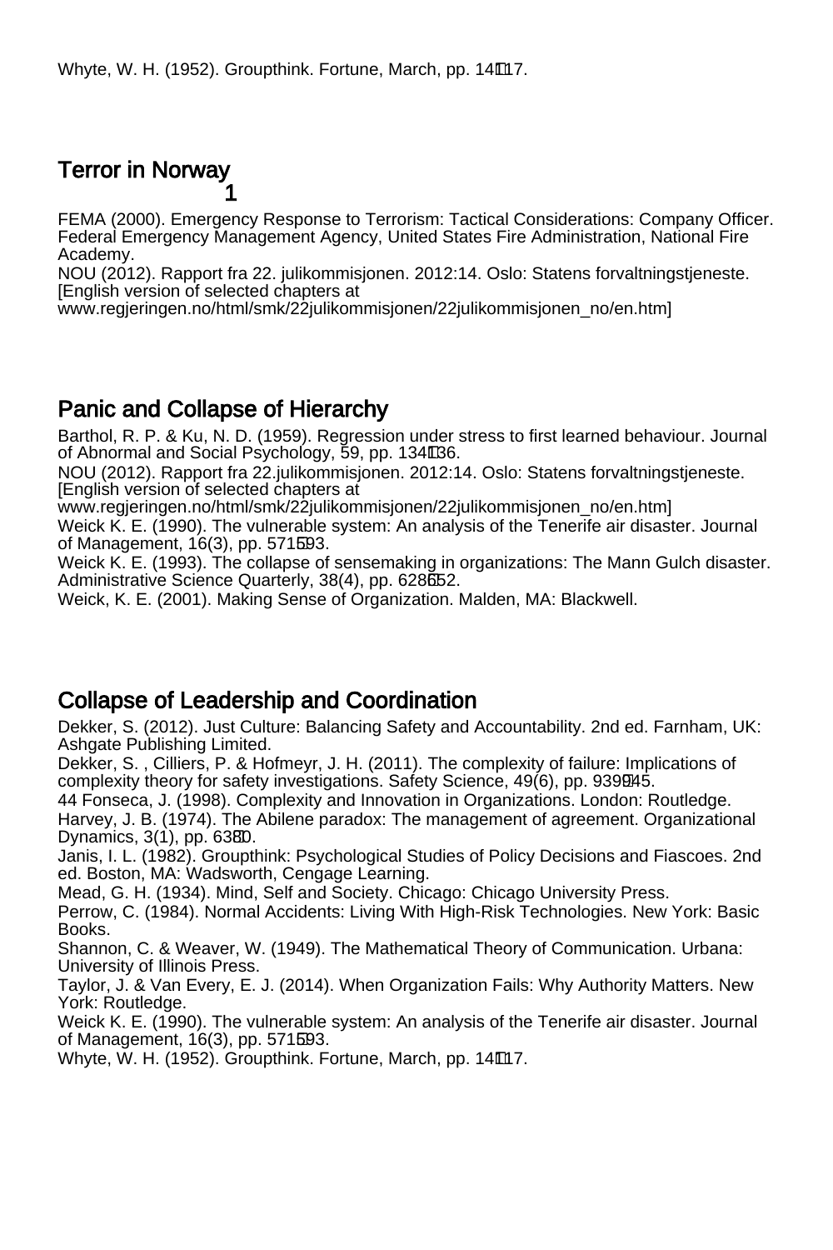#### Terror in Norway 1

FEMA (2000). Emergency Response to Terrorism: Tactical Considerations: Company Officer. Federal Emergency Management Agency, United States Fire Administration, National Fire Academy.

NOU (2012). Rapport fra 22. julikommisjonen. 2012:14. Oslo: Statens forvaltningstjeneste. [English version of selected chapters at

www.regjeringen.no/html/smk/22julikommisjonen/22julikommisjonen\_no/en.htm]

#### Panic and Collapse of Hierarchy

Barthol, R. P. & Ku, N. D. (1959). Regression under stress to first learned behaviour. Journal of Abnormal and Social Psychology, 59, pp. 134136.

NOU (2012). Rapport fra 22.julikommisjonen. 2012:14. Oslo: Statens forvaltningstjeneste. [English version of selected chapters at

www.regjeringen.no/html/smk/22julikommisjonen/22julikommisjonen\_no/en.htm]

Weick K. E. (1990). The vulnerable system: An analysis of the Tenerife air disaster. Journal of Management,  $16(3)$ , pp. 571593.

Weick K. E. (1993). The collapse of sensemaking in organizations: The Mann Gulch disaster. Administrative Science Quarterly, 38(4), pp. 628652.

Weick, K. E. (2001). Making Sense of Organization. Malden, MA: Blackwell.

#### Collapse of Leadership and Coordination

Dekker, S. (2012). Just Culture: Balancing Safety and Accountability. 2nd ed. Farnham, UK: Ashgate Publishing Limited.

Dekker, S. , Cilliers, P. & Hofmeyr, J. H. (2011). The complexity of failure: Implications of complexity theory for safety investigations. Safety Science, 49(6), pp. 939945.

44 Fonseca, J. (1998). Complexity and Innovation in Organizations. London: Routledge.

Harvey, J. B. (1974). The Abilene paradox: The management of agreement. Organizational Dynamics, 3(1), pp. 63â80.

Janis, I. L. (1982). Groupthink: Psychological Studies of Policy Decisions and Fiascoes. 2nd ed. Boston, MA: Wadsworth, Cengage Learning.

Mead, G. H. (1934). Mind, Self and Society. Chicago: Chicago University Press.

Perrow, C. (1984). Normal Accidents: Living With High-Risk Technologies. New York: Basic Books.

Shannon, C. & Weaver, W. (1949). The Mathematical Theory of Communication. Urbana: University of Illinois Press.

Taylor, J. & Van Every, E. J. (2014). When Organization Fails: Why Authority Matters. New York: Routledge.

Weick K. E. (1990). The vulnerable system: An analysis of the Tenerife air disaster. Journal of Management, 16(3), pp. 571593.

Whyte, W. H. (1952). Groupthink. Fortune, March, pp. 14117.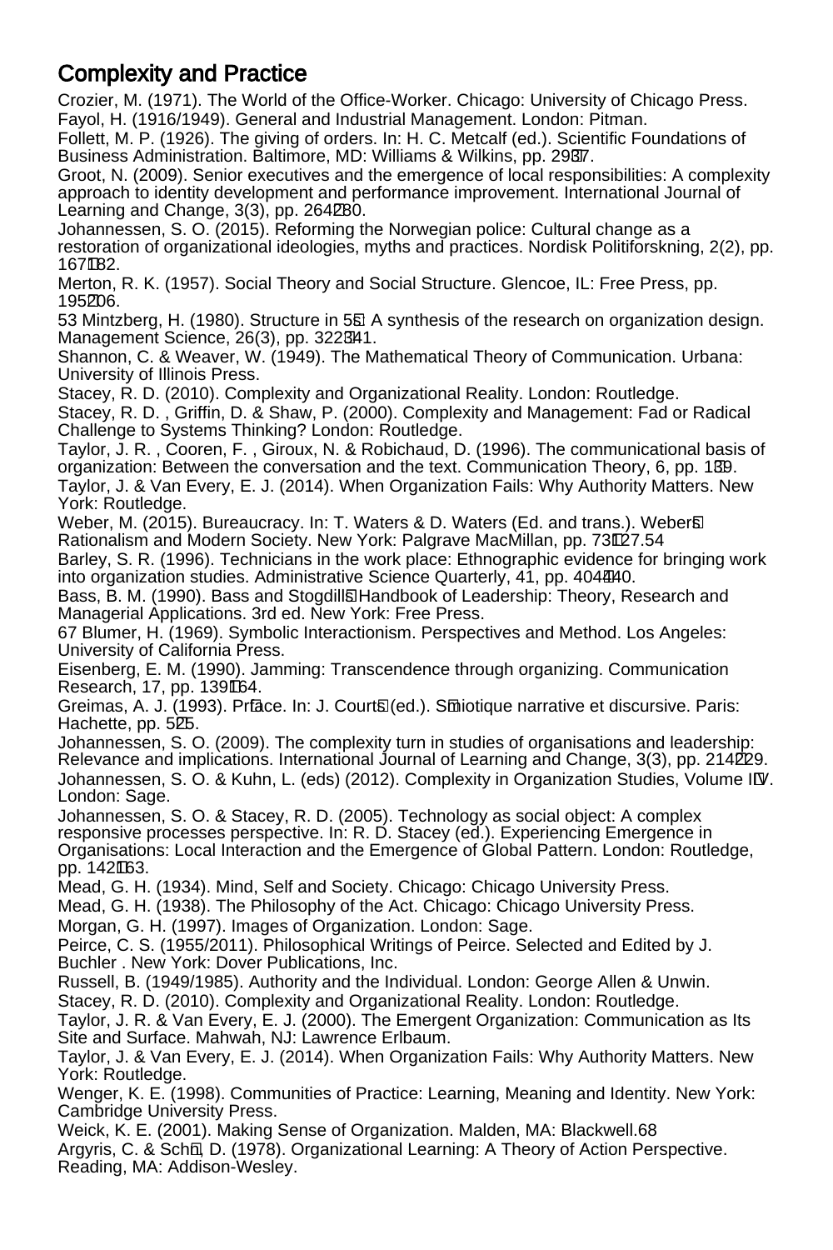#### Complexity and Practice

Crozier, M. (1971). The World of the Office-Worker. Chicago: University of Chicago Press. Fayol, H. (1916/1949). General and Industrial Management. London: Pitman.

Follett, M. P. (1926). The giving of orders. In: H. C. Metcalf (ed.). Scientific Foundations of Business Administration. Baltimore, MD: Williams & Wilkins, pp. 2937.

Groot, N. (2009). Senior executives and the emergence of local responsibilities: A complexity approach to identity development and performance improvement. International Journal of Learning and Change,  $3(3)$ , pp.  $264280$ .

Johannessen, S. O. (2015). Reforming the Norwegian police: Cultural change as a restoration of organizational ideologies, myths and practices. Nordisk Politiforskning, 2(2), pp. 167182.

Merton, R. K. (1957). Social Theory and Social Structure. Glencoe, IL: Free Press, pp. 195206.

53 Mintzberg, H. (1980). Structure in 5s: A synthesis of the research on organization design. Management Science, 26(3), pp. 322341.

Shannon, C. & Weaver, W. (1949). The Mathematical Theory of Communication. Urbana: University of Illinois Press.

Stacey, R. D. (2010). Complexity and Organizational Reality. London: Routledge.

Stacey, R. D. , Griffin, D. & Shaw, P. (2000). Complexity and Management: Fad or Radical Challenge to Systems Thinking? London: Routledge.

Taylor, J. R. , Cooren, F. , Giroux, N. & Robichaud, D. (1996). The communicational basis of organization: Between the conversation and the text. Communication Theory, 6, pp. 139. Taylor, J. & Van Every, E. J. (2014). When Organization Fails: Why Authority Matters. New York: Routledge.

Weber, M. (2015). Bureaucracy. In: T. Waters & D. Waters (Ed. and trans.). Webers Rationalism and Modern Society. New York: Palgrave MacMillan, pp. 73127.54

Barley, S. R. (1996). Technicians in the work place: Ethnographic evidence for bringing work into organization studies. Administrative Science Quarterly, 41, pp. 404440.

Bass, B. M. (1990). Bass and Stogdills Handbook of Leadership: Theory, Research and Managerial Applications. 3rd ed. New York: Free Press.

67 Blumer, H. (1969). Symbolic Interactionism. Perspectives and Method. Los Angeles: University of California Press.

Eisenberg, E. M. (1990). Jamming: Transcendence through organizing. Communication Research, 17, pp. 139164.

Greimas, A. J. (1993). Prface. In: J. Courts (ed.). Smiotique narrative et discursive. Paris: Hachette, pp. 525.

Johannessen, S. O. (2009). The complexity turn in studies of organisations and leadership: Relevance and implications. International Journal of Learning and Change, 3(3), pp. 214â229. Johannessen, S. O. & Kuhn, L. (eds) (2012). Complexity in Organization Studies, Volume IIV. London: Sage.

Johannessen, S. O. & Stacey, R. D. (2005). Technology as social object: A complex responsive processes perspective. In: R. D. Stacey (ed.). Experiencing Emergence in Organisations: Local Interaction and the Emergence of Global Pattern. London: Routledge, pp. 142163.

Mead, G. H. (1934). Mind, Self and Society. Chicago: Chicago University Press.

Mead, G. H. (1938). The Philosophy of the Act. Chicago: Chicago University Press.

Morgan, G. H. (1997). Images of Organization. London: Sage.

Peirce, C. S. (1955/2011). Philosophical Writings of Peirce. Selected and Edited by J. Buchler . New York: Dover Publications, Inc.

Russell, B. (1949/1985). Authority and the Individual. London: George Allen & Unwin.

Stacey, R. D. (2010). Complexity and Organizational Reality. London: Routledge.

Taylor, J. R. & Van Every, E. J. (2000). The Emergent Organization: Communication as Its Site and Surface. Mahwah, NJ: Lawrence Erlbaum.

Taylor, J. & Van Every, E. J. (2014). When Organization Fails: Why Authority Matters. New York: Routledge.

Wenger, K. E. (1998). Communities of Practice: Learning, Meaning and Identity. New York: Cambridge University Press.

Weick, K. E. (2001). Making Sense of Organization. Malden, MA: Blackwell.68 Argyris, C. & Schn, D. (1978). Organizational Learning: A Theory of Action Perspective. Reading, MA: Addison-Wesley.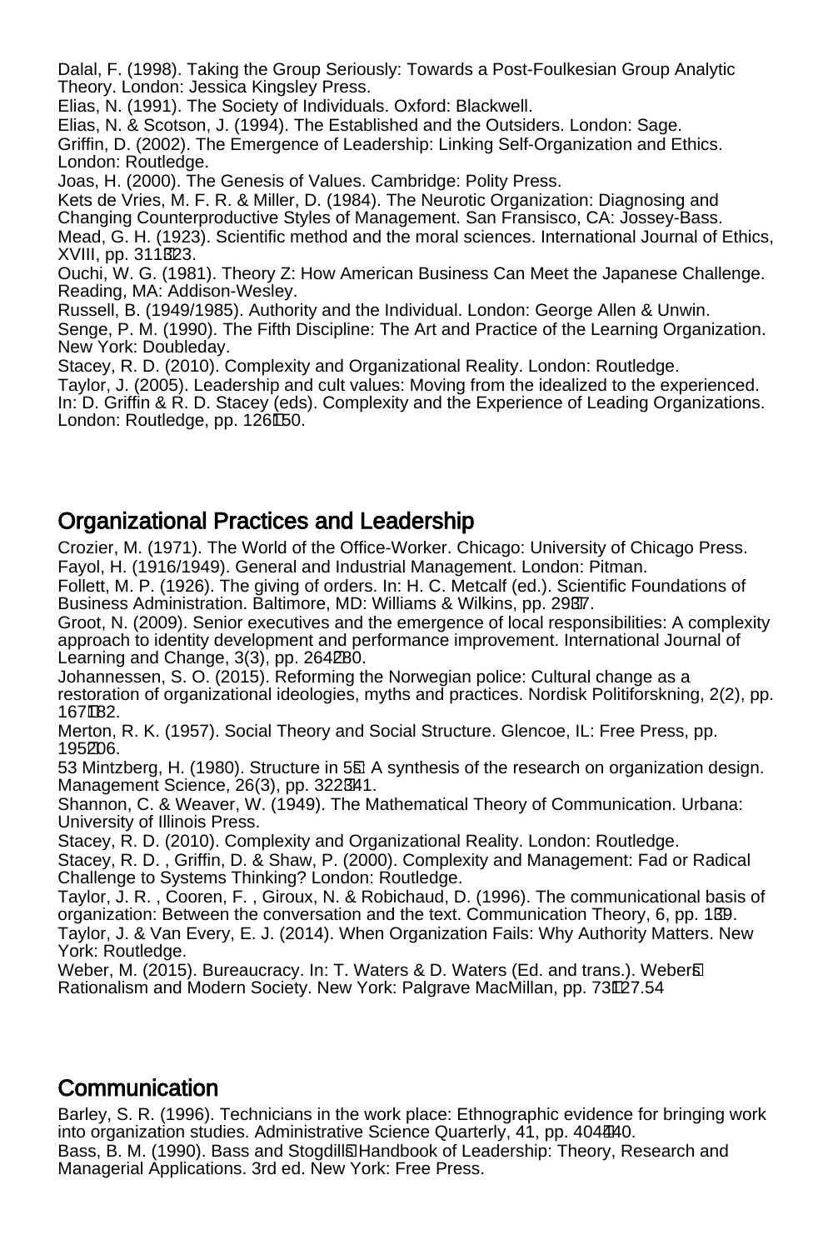Dalal, F. (1998). Taking the Group Seriously: Towards a Post-Foulkesian Group Analytic Theory. London: Jessica Kingsley Press.

Elias, N. (1991). The Society of Individuals. Oxford: Blackwell.

Elias, N. & Scotson, J. (1994). The Established and the Outsiders. London: Sage. Griffin, D. (2002). The Emergence of Leadership: Linking Self-Organization and Ethics. London: Routledge.

Joas, H. (2000). The Genesis of Values. Cambridge: Polity Press.

Kets de Vries, M. F. R. & Miller, D. (1984). The Neurotic Organization: Diagnosing and Changing Counterproductive Styles of Management. San Fransisco, CA: Jossey-Bass. Mead, G. H. (1923). Scientific method and the moral sciences. International Journal of Ethics, XVIII, pp. 311â323.

Ouchi, W. G. (1981). Theory Z: How American Business Can Meet the Japanese Challenge. Reading, MA: Addison-Wesley.

Russell, B. (1949/1985). Authority and the Individual. London: George Allen & Unwin. Senge, P. M. (1990). The Fifth Discipline: The Art and Practice of the Learning Organization. New York: Doubleday.

Stacey, R. D. (2010). Complexity and Organizational Reality. London: Routledge.

Taylor, J. (2005). Leadership and cult values: Moving from the idealized to the experienced. In: D. Griffin & R. D. Stacey (eds). Complexity and the Experience of Leading Organizations. London: Routledge, pp. 126150.

#### Organizational Practices and Leadership

Crozier, M. (1971). The World of the Office-Worker. Chicago: University of Chicago Press. Fayol, H. (1916/1949). General and Industrial Management. London: Pitman.

Follett, M. P. (1926). The giving of orders. In: H. C. Metcalf (ed.). Scientific Foundations of Business Administration. Baltimore, MD: Williams & Wilkins, pp. 2937.

Groot, N. (2009). Senior executives and the emergence of local responsibilities: A complexity approach to identity development and performance improvement. International Journal of Learning and Change,  $3(3)$ , pp.  $264280$ .

Johannessen, S. O. (2015). Reforming the Norwegian police: Cultural change as a restoration of organizational ideologies, myths and practices. Nordisk Politiforskning, 2(2), pp. 167182.

Merton, R. K. (1957). Social Theory and Social Structure. Glencoe, IL: Free Press, pp. 195206.

53 Mintzberg, H. (1980). Structure in 5s: A synthesis of the research on organization design. Management Science, 26(3), pp. 322341.

Shannon, C. & Weaver, W. (1949). The Mathematical Theory of Communication. Urbana: University of Illinois Press.

Stacey, R. D. (2010). Complexity and Organizational Reality. London: Routledge. Stacey, R. D. , Griffin, D. & Shaw, P. (2000). Complexity and Management: Fad or Radical Challenge to Systems Thinking? London: Routledge.

Taylor, J. R. , Cooren, F. , Giroux, N. & Robichaud, D. (1996). The communicational basis of organization: Between the conversation and the text. Communication Theory, 6, pp. 1â39. Taylor, J. & Van Every, E. J. (2014). When Organization Fails: Why Authority Matters. New York: Routledge.

Weber, M. (2015). Bureaucracy. In: T. Waters & D. Waters (Ed. and trans.). Webers Rationalism and Modern Society. New York: Palgrave MacMillan, pp. 73127.54

#### **Communication**

Barley, S. R. (1996). Technicians in the work place: Ethnographic evidence for bringing work into organization studies. Administrative Science Quarterly, 41, pp. 404440. Bass, B. M. (1990). Bass and Stogdills Handbook of Leadership: Theory, Research and Managerial Applications. 3rd ed. New York: Free Press.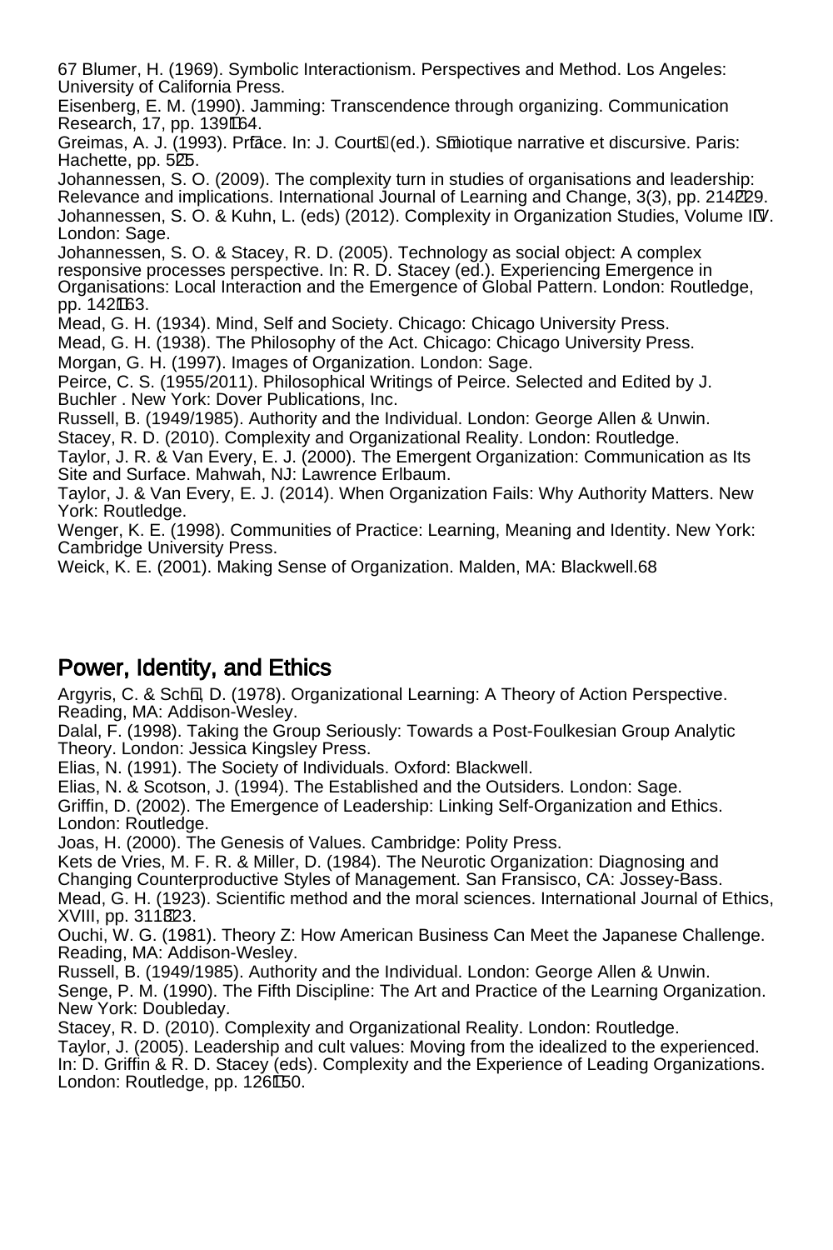67 Blumer, H. (1969). Symbolic Interactionism. Perspectives and Method. Los Angeles: University of California Press.

Eisenberg, E. M. (1990). Jamming: Transcendence through organizing. Communication Research, 17, pp. 139164.

Greimas, A. J. (1993). Prface. In: J. Courts (ed.). Smiotique narrative et discursive. Paris: Hachette, pp. 525.

Johannessen, S. O. (2009). The complexity turn in studies of organisations and leadership: Relevance and implications. International Journal of Learning and Change, 3(3), pp. 214â229. Johannessen, S. O. & Kuhn, L. (eds) (2012). Complexity in Organization Studies, Volume IIV. London: Sage.

Johannessen, S. O. & Stacey, R. D. (2005). Technology as social object: A complex responsive processes perspective. In: R. D. Stacey (ed.). Experiencing Emergence in Organisations: Local Interaction and the Emergence of Global Pattern. London: Routledge, pp. 142163.

Mead, G. H. (1934). Mind, Self and Society. Chicago: Chicago University Press.

Mead, G. H. (1938). The Philosophy of the Act. Chicago: Chicago University Press.

Morgan, G. H. (1997). Images of Organization. London: Sage.

Peirce, C. S. (1955/2011). Philosophical Writings of Peirce. Selected and Edited by J. Buchler . New York: Dover Publications, Inc.

Russell, B. (1949/1985). Authority and the Individual. London: George Allen & Unwin.

Stacey, R. D. (2010). Complexity and Organizational Reality. London: Routledge.

Taylor, J. R. & Van Every, E. J. (2000). The Emergent Organization: Communication as Its Site and Surface. Mahwah, NJ: Lawrence Erlbaum.

Taylor, J. & Van Every, E. J. (2014). When Organization Fails: Why Authority Matters. New York: Routledge.

Wenger, K. E. (1998). Communities of Practice: Learning, Meaning and Identity. New York: Cambridge University Press.

Weick, K. E. (2001). Making Sense of Organization. Malden, MA: Blackwell.68

#### Power, Identity, and Ethics

Argyris, C. & Schn, D. (1978). Organizational Learning: A Theory of Action Perspective. Reading, MA: Addison-Wesley.

Dalal, F. (1998). Taking the Group Seriously: Towards a Post-Foulkesian Group Analytic Theory. London: Jessica Kingsley Press.

Elias, N. (1991). The Society of Individuals. Oxford: Blackwell.

Elias, N. & Scotson, J. (1994). The Established and the Outsiders. London: Sage.

Griffin, D. (2002). The Emergence of Leadership: Linking Self-Organization and Ethics. London: Routledge.

Joas, H. (2000). The Genesis of Values. Cambridge: Polity Press.

Kets de Vries, M. F. R. & Miller, D. (1984). The Neurotic Organization: Diagnosing and Changing Counterproductive Styles of Management. San Fransisco, CA: Jossey-Bass. Mead, G. H. (1923). Scientific method and the moral sciences. International Journal of Ethics, XVIII, pp. 311â323.

Ouchi, W. G. (1981). Theory Z: How American Business Can Meet the Japanese Challenge. Reading, MA: Addison-Wesley.

Russell, B. (1949/1985). Authority and the Individual. London: George Allen & Unwin. Senge, P. M. (1990). The Fifth Discipline: The Art and Practice of the Learning Organization. New York: Doubleday.

Stacey, R. D. (2010). Complexity and Organizational Reality. London: Routledge. Taylor, J. (2005). Leadership and cult values: Moving from the idealized to the experienced. In: D. Griffin & R. D. Stacey (eds). Complexity and the Experience of Leading Organizations. London: Routledge, pp. 126150.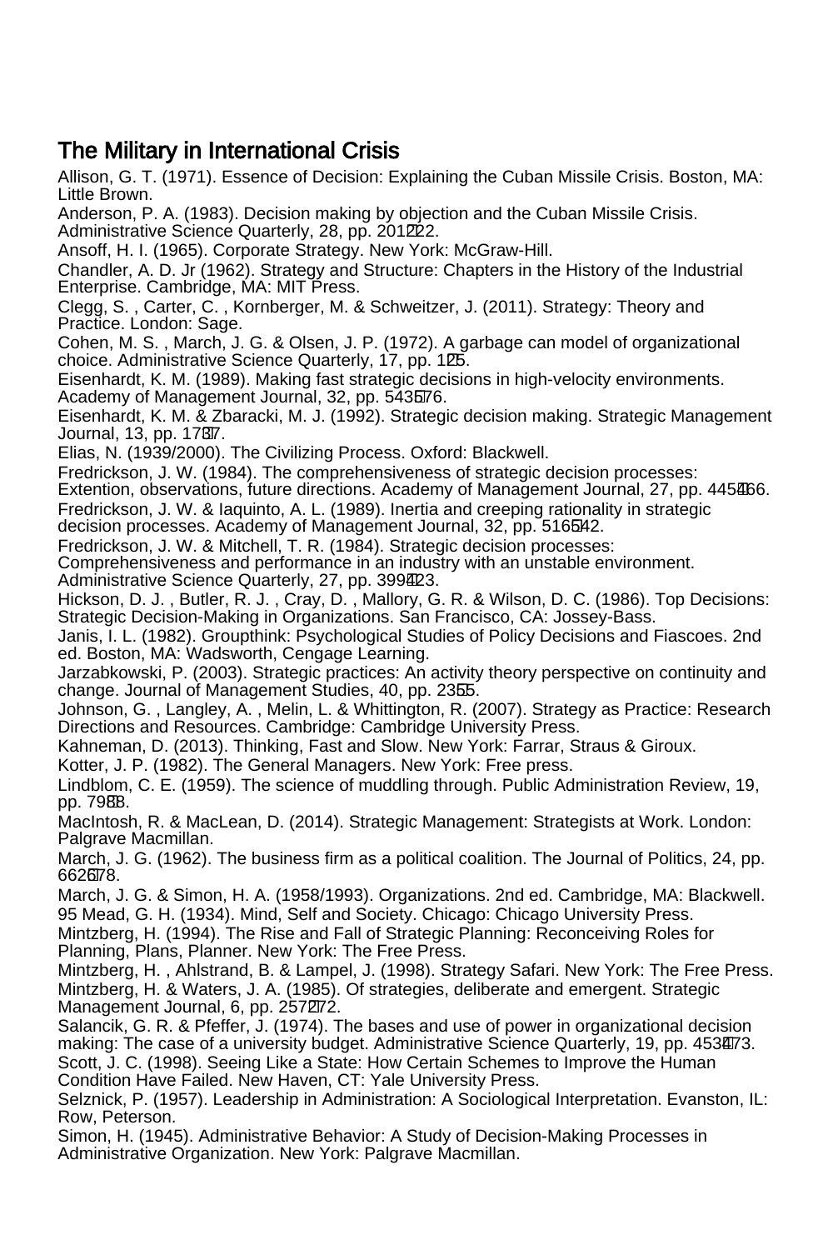#### The Military in International Crisis

Allison, G. T. (1971). Essence of Decision: Explaining the Cuban Missile Crisis. Boston, MA: Little Brown.

Anderson, P. A. (1983). Decision making by objection and the Cuban Missile Crisis. Administrative Science Quarterly, 28, pp. 201222.

Ansoff, H. I. (1965). Corporate Strategy. New York: McGraw-Hill.

Chandler, A. D. Jr (1962). Strategy and Structure: Chapters in the History of the Industrial Enterprise. Cambridge, MA: MIT Press.

Clegg, S. , Carter, C. , Kornberger, M. & Schweitzer, J. (2011). Strategy: Theory and Practice. London: Sage.

Cohen, M. S. , March, J. G. & Olsen, J. P. (1972). A garbage can model of organizational choice. Administrative Science Quarterly, 17, pp. 125.

Eisenhardt, K. M. (1989). Making fast strategic decisions in high-velocity environments. Academy of Management Journal, 32, pp. 543576.

Eisenhardt, K. M. & Zbaracki, M. J. (1992). Strategic decision making. Strategic Management Journal, 13, pp. 17â37.

Elias, N. (1939/2000). The Civilizing Process. Oxford: Blackwell.

Fredrickson, J. W. (1984). The comprehensiveness of strategic decision processes:

Extention, observations, future directions. Academy of Management Journal, 27, pp. 445466.

Fredrickson, J. W. & Iaquinto, A. L. (1989). Inertia and creeping rationality in strategic

decision processes. Academy of Management Journal, 32, pp. 516542.

Fredrickson, J. W. & Mitchell, T. R. (1984). Strategic decision processes: Comprehensiveness and performance in an industry with an unstable environment. Administrative Science Quarterly, 27, pp. 399423.

Hickson, D. J. , Butler, R. J. , Cray, D. , Mallory, G. R. & Wilson, D. C. (1986). Top Decisions: Strategic Decision-Making in Organizations. San Francisco, CA: Jossey-Bass.

Janis, I. L. (1982). Groupthink: Psychological Studies of Policy Decisions and Fiascoes. 2nd ed. Boston, MA: Wadsworth, Cengage Learning.

Jarzabkowski, P. (2003). Strategic practices: An activity theory perspective on continuity and change. Journal of Management Studies, 40, pp. 2355.

Johnson, G. , Langley, A. , Melin, L. & Whittington, R. (2007). Strategy as Practice: Research Directions and Resources. Cambridge: Cambridge University Press.

Kahneman, D. (2013). Thinking, Fast and Slow. New York: Farrar, Straus & Giroux.

Kotter, J. P. (1982). The General Managers. New York: Free press.

Lindblom, C. E. (1959). The science of muddling through. Public Administration Review, 19, pp. 7988.

MacIntosh, R. & MacLean, D. (2014). Strategic Management: Strategists at Work. London: Palgrave Macmillan.

March, J. G. (1962). The business firm as a political coalition. The Journal of Politics, 24, pp. 662678.

March, J. G. & Simon, H. A. (1958/1993). Organizations. 2nd ed. Cambridge, MA: Blackwell. 95 Mead, G. H. (1934). Mind, Self and Society. Chicago: Chicago University Press.

Mintzberg, H. (1994). The Rise and Fall of Strategic Planning: Reconceiving Roles for Planning, Plans, Planner. New York: The Free Press.

Mintzberg, H. , Ahlstrand, B. & Lampel, J. (1998). Strategy Safari. New York: The Free Press. Mintzberg, H. & Waters, J. A. (1985). Of strategies, deliberate and emergent. Strategic Management Journal, 6, pp. 257272.

Salancik, G. R. & Pfeffer, J. (1974). The bases and use of power in organizational decision making: The case of a university budget. Administrative Science Quarterly, 19, pp. 453473. Scott, J. C. (1998). Seeing Like a State: How Certain Schemes to Improve the Human Condition Have Failed. New Haven, CT: Yale University Press.

Selznick, P. (1957). Leadership in Administration: A Sociological Interpretation. Evanston, IL: Row, Peterson.

Simon, H. (1945). Administrative Behavior: A Study of Decision-Making Processes in Administrative Organization. New York: Palgrave Macmillan.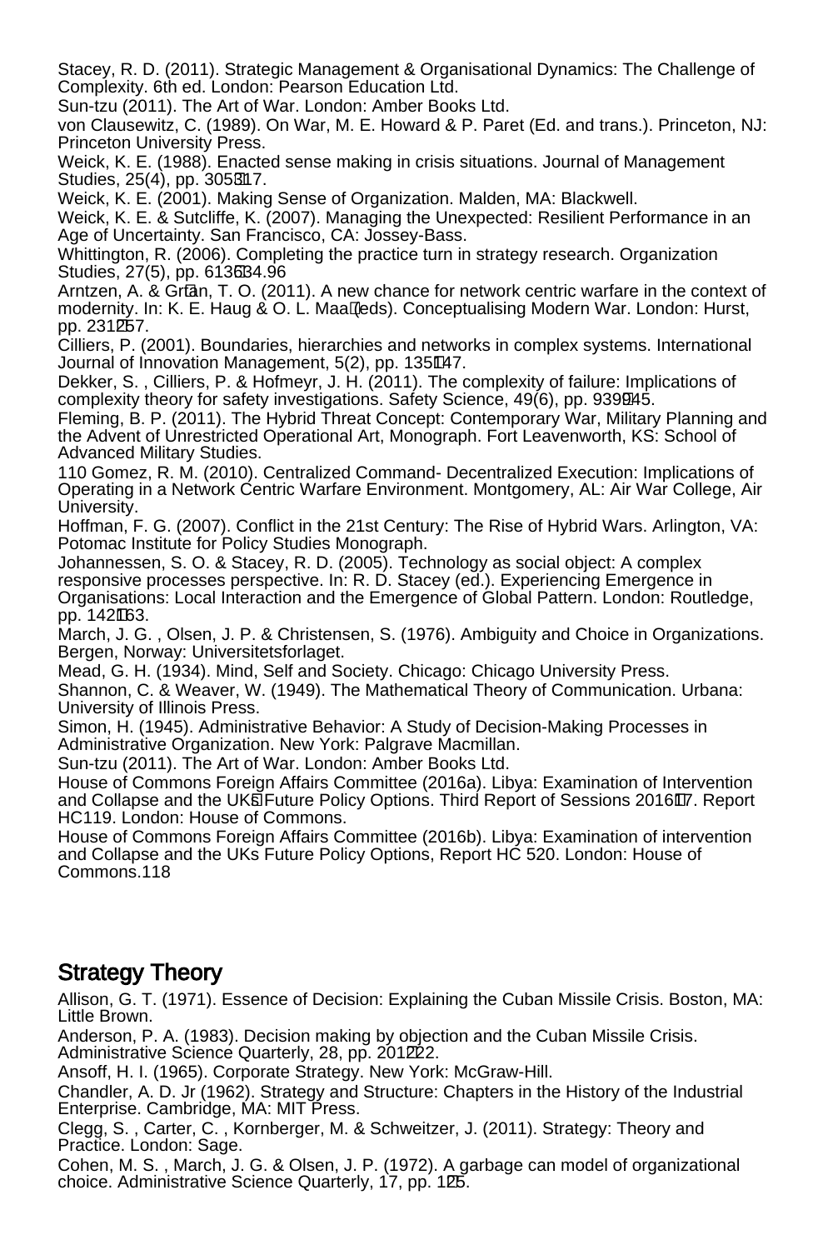Stacey, R. D. (2011). Strategic Management & Organisational Dynamics: The Challenge of Complexity. 6th ed. London: Pearson Education Ltd.

Sun-tzu (2011). The Art of War. London: Amber Books Ltd.

von Clausewitz, C. (1989). On War, M. E. Howard & P. Paret (Ed. and trans.). Princeton, NJ: Princeton University Press.

Weick, K. E. (1988). Enacted sense making in crisis situations. Journal of Management Studies, 25(4), pp. 305317.

Weick, K. E. (2001). Making Sense of Organization. Malden, MA: Blackwell.

Weick, K. E. & Sutcliffe, K. (2007). Managing the Unexpected: Resilient Performance in an Age of Uncertainty. San Francisco, CA: Jossey-Bass.

Whittington, R. (2006). Completing the practice turn in strategy research. Organization Studies, 27(5), pp. 613634.96

Arntzen, A. & Grtan, T. O. (2011). A new chance for network centric warfare in the context of modernity. In: K. E. Haug & O. L. Maa (eds). Conceptualising Modern War. London: Hurst, pp. 231257.

Cilliers, P. (2001). Boundaries, hierarchies and networks in complex systems. International Journal of Innovation Management, 5(2), pp. 135147.

Dekker, S. , Cilliers, P. & Hofmeyr, J. H. (2011). The complexity of failure: Implications of complexity theory for safety investigations. Safety Science, 49(6), pp. 939945.

Fleming, B. P. (2011). The Hybrid Threat Concept: Contemporary War, Military Planning and the Advent of Unrestricted Operational Art, Monograph. Fort Leavenworth, KS: School of Advanced Military Studies.

110 Gomez, R. M. (2010). Centralized Command- Decentralized Execution: Implications of Operating in a Network Centric Warfare Environment. Montgomery, AL: Air War College, Air University.

Hoffman, F. G. (2007). Conflict in the 21st Century: The Rise of Hybrid Wars. Arlington, VA: Potomac Institute for Policy Studies Monograph.

Johannessen, S. O. & Stacey, R. D. (2005). Technology as social object: A complex responsive processes perspective. In: R. D. Stacey (ed.). Experiencing Emergence in Organisations: Local Interaction and the Emergence of Global Pattern. London: Routledge,  $pp. 142163.$ 

March, J. G. , Olsen, J. P. & Christensen, S. (1976). Ambiguity and Choice in Organizations. Bergen, Norway: Universitetsforlaget.

Mead, G. H. (1934). Mind, Self and Society. Chicago: Chicago University Press.

Shannon, C. & Weaver, W. (1949). The Mathematical Theory of Communication. Urbana: University of Illinois Press.

Simon, H. (1945). Administrative Behavior: A Study of Decision-Making Processes in Administrative Organization. New York: Palgrave Macmillan.

Sun-tzu (2011). The Art of War. London: Amber Books Ltd.

House of Commons Foreign Affairs Committee (2016a). Libya: Examination of Intervention and Collapse and the UKâs Future Policy Options. Third Report of Sessions 2016â17. Report HC119. London: House of Commons.

House of Commons Foreign Affairs Committee (2016b). Libya: Examination of intervention and Collapse and the UKs Future Policy Options, Report HC 520. London: House of Commons.118

#### Strategy Theory

Allison, G. T. (1971). Essence of Decision: Explaining the Cuban Missile Crisis. Boston, MA: Little Brown.

Anderson, P. A. (1983). Decision making by objection and the Cuban Missile Crisis. Administrative Science Ouarterly, 28, pp. 201222.

Ansoff, H. I. (1965). Corporate Strategy. New York: McGraw-Hill.

Chandler, A. D. Jr (1962). Strategy and Structure: Chapters in the History of the Industrial Enterprise. Cambridge, MA: MIT Press.

Clegg, S. , Carter, C. , Kornberger, M. & Schweitzer, J. (2011). Strategy: Theory and Practice. London: Sage.

Cohen, M. S. , March, J. G. & Olsen, J. P. (1972). A garbage can model of organizational choice. Administrative Science Quarterly, 17, pp. 125.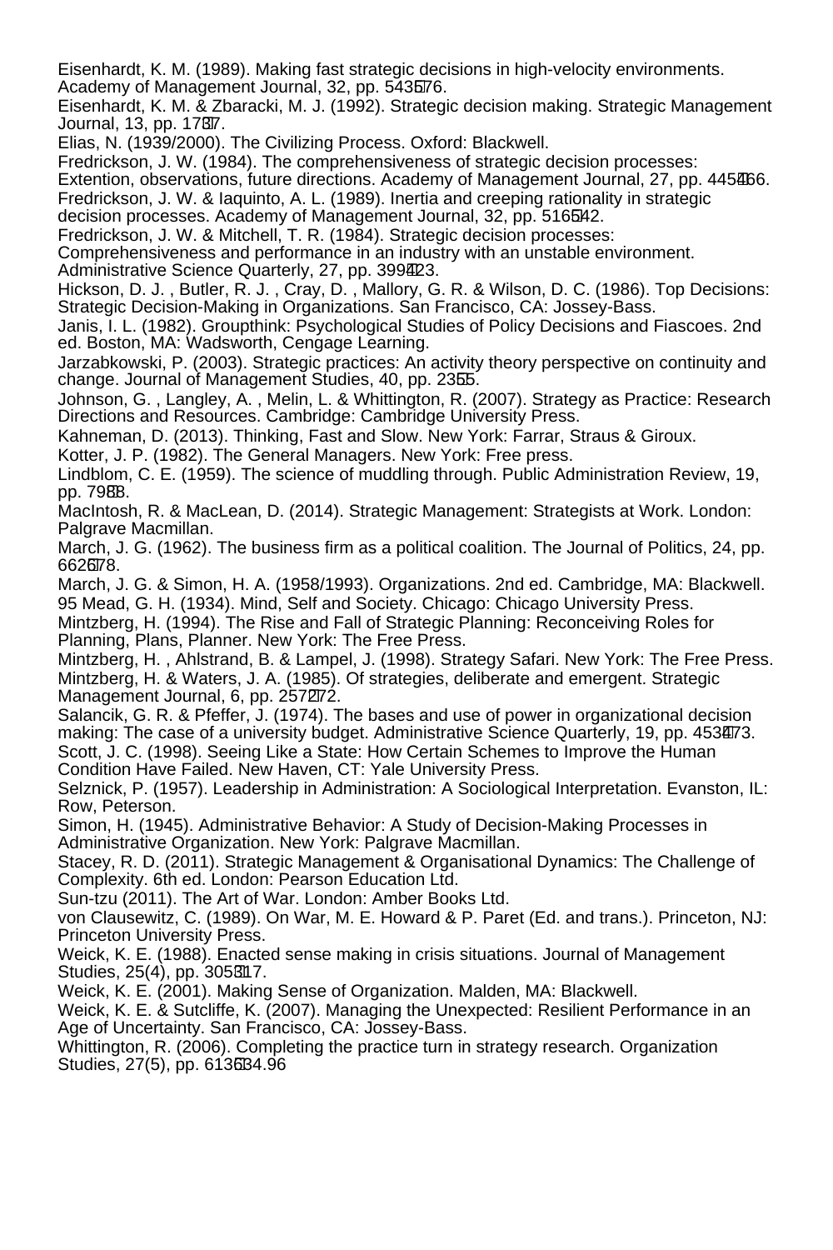Eisenhardt, K. M. (1989). Making fast strategic decisions in high-velocity environments. Academy of Management Journal, 32, pp. 543576.

Eisenhardt, K. M. & Zbaracki, M. J. (1992). Strategic decision making. Strategic Management Journal, 13, pp. 17â37.

Elias, N. (1939/2000). The Civilizing Process. Oxford: Blackwell.

Fredrickson, J. W. (1984). The comprehensiveness of strategic decision processes:

Extention, observations, future directions. Academy of Management Journal, 27, pp. 445â466.

Fredrickson, J. W. & Iaquinto, A. L. (1989). Inertia and creeping rationality in strategic

decision processes. Academy of Management Journal, 32, pp. 516542.

Fredrickson, J. W. & Mitchell, T. R. (1984). Strategic decision processes:

Comprehensiveness and performance in an industry with an unstable environment. Administrative Science Quarterly, 27, pp. 399423.

Hickson, D. J. , Butler, R. J. , Cray, D. , Mallory, G. R. & Wilson, D. C. (1986). Top Decisions: Strategic Decision-Making in Organizations. San Francisco, CA: Jossey-Bass.

Janis, I. L. (1982). Groupthink: Psychological Studies of Policy Decisions and Fiascoes. 2nd ed. Boston, MA: Wadsworth, Cengage Learning.

Jarzabkowski, P. (2003). Strategic practices: An activity theory perspective on continuity and change. Journal of Management Studies, 40, pp. 2355.

Johnson, G. , Langley, A. , Melin, L. & Whittington, R. (2007). Strategy as Practice: Research Directions and Resources. Cambridge: Cambridge University Press.

Kahneman, D. (2013). Thinking, Fast and Slow. New York: Farrar, Straus & Giroux.

Kotter, J. P. (1982). The General Managers. New York: Free press.

Lindblom, C. E. (1959). The science of muddling through. Public Administration Review, 19, pp. 7988.

MacIntosh, R. & MacLean, D. (2014). Strategic Management: Strategists at Work. London: Palgrave Macmillan.

March, J. G. (1962). The business firm as a political coalition. The Journal of Politics, 24, pp. 662678.

March, J. G. & Simon, H. A. (1958/1993). Organizations. 2nd ed. Cambridge, MA: Blackwell. 95 Mead, G. H. (1934). Mind, Self and Society. Chicago: Chicago University Press.

Mintzberg, H. (1994). The Rise and Fall of Strategic Planning: Reconceiving Roles for Planning, Plans, Planner. New York: The Free Press.

Mintzberg, H. , Ahlstrand, B. & Lampel, J. (1998). Strategy Safari. New York: The Free Press. Mintzberg, H. & Waters, J. A. (1985). Of strategies, deliberate and emergent. Strategic Management Journal, 6, pp. 257272.

Salancik, G. R. & Pfeffer, J. (1974). The bases and use of power in organizational decision making: The case of a university budget. Administrative Science Quarterly, 19, pp. 453473. Scott, J. C. (1998). Seeing Like a State: How Certain Schemes to Improve the Human Condition Have Failed. New Haven, CT: Yale University Press.

Selznick, P. (1957). Leadership in Administration: A Sociological Interpretation. Evanston, IL: Row, Peterson.

Simon, H. (1945). Administrative Behavior: A Study of Decision-Making Processes in Administrative Organization. New York: Palgrave Macmillan.

Stacey, R. D. (2011). Strategic Management & Organisational Dynamics: The Challenge of Complexity. 6th ed. London: Pearson Education Ltd.

Sun-tzu (2011). The Art of War. London: Amber Books Ltd.

von Clausewitz, C. (1989). On War, M. E. Howard & P. Paret (Ed. and trans.). Princeton, NJ: Princeton University Press.

Weick, K. E. (1988). Enacted sense making in crisis situations. Journal of Management Studies, 25(4), pp. 305317.

Weick, K. E. (2001). Making Sense of Organization. Malden, MA: Blackwell.

Weick, K. E. & Sutcliffe, K. (2007). Managing the Unexpected: Resilient Performance in an Age of Uncertainty. San Francisco, CA: Jossey-Bass.

Whittington, R. (2006). Completing the practice turn in strategy research. Organization Studies, 27(5), pp. 613634.96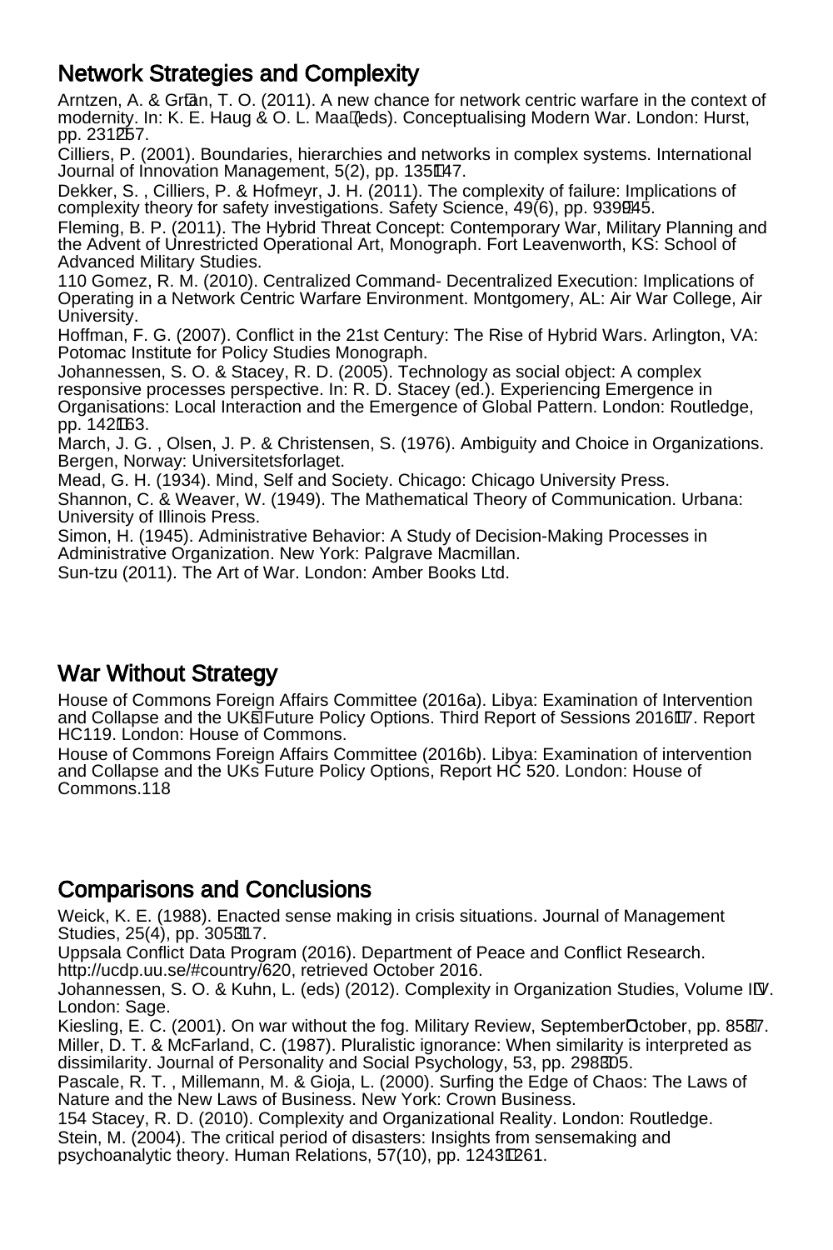#### Network Strategies and Complexity

Arntzen, A. & Grtan, T. O. (2011). A new chance for network centric warfare in the context of modernity. In: K. E. Haug & O. L. Maa (eds). Conceptualising Modern War. London: Hurst, pp. 231257.

Cilliers, P. (2001). Boundaries, hierarchies and networks in complex systems. International Journal of Innovation Management, 5(2), pp. 135147.

Dekker, S. , Cilliers, P. & Hofmeyr, J. H. (2011). The complexity of failure: Implications of complexity theory for safety investigations. Safety Science,  $49(6)$ , pp. 939945.

Fleming, B. P. (2011). The Hybrid Threat Concept: Contemporary War, Military Planning and the Advent of Unrestricted Operational Art, Monograph. Fort Leavenworth, KS: School of Advanced Military Studies.

110 Gomez, R. M. (2010). Centralized Command- Decentralized Execution: Implications of Operating in a Network Centric Warfare Environment. Montgomery, AL: Air War College, Air University.

Hoffman, F. G. (2007). Conflict in the 21st Century: The Rise of Hybrid Wars. Arlington, VA: Potomac Institute for Policy Studies Monograph.

Johannessen, S. O. & Stacey, R. D. (2005). Technology as social object: A complex responsive processes perspective. In: R. D. Stacey (ed.). Experiencing Emergence in Organisations: Local Interaction and the Emergence of Global Pattern. London: Routledge, pp. 142163.

March, J. G. , Olsen, J. P. & Christensen, S. (1976). Ambiguity and Choice in Organizations. Bergen, Norway: Universitetsforlaget.

Mead, G. H. (1934). Mind, Self and Society. Chicago: Chicago University Press. Shannon, C. & Weaver, W. (1949). The Mathematical Theory of Communication. Urbana: University of Illinois Press.

Simon, H. (1945). Administrative Behavior: A Study of Decision-Making Processes in Administrative Organization. New York: Palgrave Macmillan.

Sun-tzu (2011). The Art of War. London: Amber Books Ltd.

#### War Without Strategy

House of Commons Foreign Affairs Committee (2016a). Libya: Examination of Intervention and Collapse and the UKs Future Policy Options. Third Report of Sessions 201617. Report HC119. London: House of Commons.

House of Commons Foreign Affairs Committee (2016b). Libya: Examination of intervention and Collapse and the UKs Future Policy Options, Report HC 520. London: House of Commons<sup>118</sup>

#### Comparisons and Conclusions

Weick, K. E. (1988). Enacted sense making in crisis situations. Journal of Management Studies, 25(4), pp. 305317.

Uppsala Conflict Data Program (2016). Department of Peace and Conflict Research. http://ucdp.uu.se/#country/620, retrieved October 2016.

Johannessen, S. O. & Kuhn, L. (eds) (2012). Complexity in Organization Studies, Volume IIV. London: Sage.

Kiesling, E. C. (2001). On war without the fog. Military Review, SeptemberOctober, pp. 8587. Miller, D. T. & McFarland, C. (1987). Pluralistic ignorance: When similarity is interpreted as dissimilarity. Journal of Personality and Social Psychology, 53, pp. 298305.

Pascale, R. T. , Millemann, M. & Gioja, L. (2000). Surfing the Edge of Chaos: The Laws of Nature and the New Laws of Business. New York: Crown Business.

154 Stacey, R. D. (2010). Complexity and Organizational Reality. London: Routledge. Stein, M. (2004). The critical period of disasters: Insights from sensemaking and psychoanalytic theory. Human Relations, 57(10), pp. 12431261.